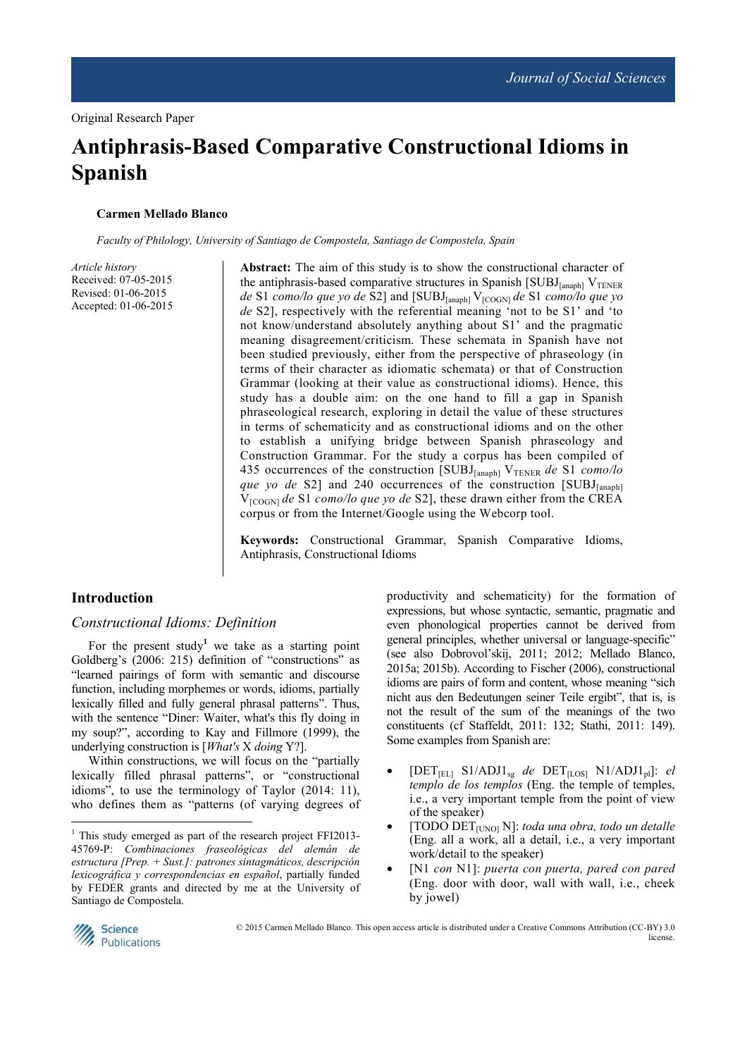# **Antiphrasis-Based Comparative Constructional Idioms in Spanish**

#### **Carmen Mellado Blanco**

*Faculty of Philology, University of Santiago de Compostela, Santiago de Compostela, Spain* 

*Article history*  Received: 07-05-2015 Revised: 01-06-2015 Accepted: 01-06-2015

**Abstract:** The aim of this study is to show the constructional character of the antiphrasis-based comparative structures in Spanish  $[SUBJ<sub>[anaph]</sub> V<sub>TENER</sub>$ *de* S1 *como/lo que yo de* S2] and [SUBJ[anaph] V[COGN] *de* S1 *como/lo que yo de* S2], respectively with the referential meaning 'not to be S1' and 'to not know/understand absolutely anything about S1' and the pragmatic meaning disagreement/criticism. These schemata in Spanish have not been studied previously, either from the perspective of phraseology (in terms of their character as idiomatic schemata) or that of Construction Grammar (looking at their value as constructional idioms). Hence, this study has a double aim: on the one hand to fill a gap in Spanish phraseological research, exploring in detail the value of these structures in terms of schematicity and as constructional idioms and on the other to establish a unifying bridge between Spanish phraseology and Construction Grammar. For the study a corpus has been compiled of 435 occurrences of the construction [SUBJ<sub>[anaph]</sub> V<sub>TENER</sub> de S1 *como/lo que yo de* S2] and 240 occurrences of the construction [SUBJ<sub>[anaph]</sub> V[COGN] *de* S1 *como/lo que yo de* S2], these drawn either from the CREA corpus or from the Internet/Google using the Webcorp tool.

**Keywords:** Constructional Grammar, Spanish Comparative Idioms, Antiphrasis, Constructional Idioms

## **Introduction**

## *Constructional Idioms: Definition*

For the present study<sup>1</sup> we take as a starting point Goldberg's (2006: 215) definition of "constructions" as "learned pairings of form with semantic and discourse function, including morphemes or words, idioms, partially lexically filled and fully general phrasal patterns". Thus, with the sentence "Diner: Waiter, what's this fly doing in my soup?", according to Kay and Fillmore (1999), the underlying construction is [*What's* X *doing* Y?].

Within constructions, we will focus on the "partially lexically filled phrasal patterns", or "constructional idioms", to use the terminology of Taylor (2014: 11), who defines them as "patterns (of varying degrees of productivity and schematicity) for the formation of expressions, but whose syntactic, semantic, pragmatic and even phonological properties cannot be derived from general principles, whether universal or language-specific" (see also Dobrovol'skij, 2011; 2012; Mellado Blanco, 2015a; 2015b). According to Fischer (2006), constructional idioms are pairs of form and content, whose meaning "sich nicht aus den Bedeutungen seiner Teile ergibt", that is, is not the result of the sum of the meanings of the two constituents (cf Staffeldt, 2011: 132; Stathi, 2011: 149). Some examples from Spanish are:

- $[DET_{[EL]} S1/ADJI_{sg}$  *de*  $DET_{[LOS]} N1/ADJI_{pl}]$ : *el templo de los templos* (Eng. the temple of temples, i.e., a very important temple from the point of view of the speaker)
- [TODO DET[UNO] N]: *toda una obra, todo un detalle*  (Eng. all a work, all a detail, i.e., a very important work/detail to the speaker)
- [N1 *con* N1]: *puerta con puerta, pared con pared*  (Eng. door with door, wall with wall, i.e., cheek by jowel)



 $\overline{a}$ 

 © 2015 Carmen Mellado Blanco. This open access article is distributed under a Creative Commons Attribution (CC-BY) 3.0 license.

<sup>&</sup>lt;sup>1</sup> This study emerged as part of the research project FFI2013-45769-P: *Combinaciones fraseológicas del alemán de estructura [Prep. + Sust.]: patrones sintagmáticos, descripción lexicográfica y correspondencias en español*, partially funded by FEDER grants and directed by me at the University of Santiago de Compostela.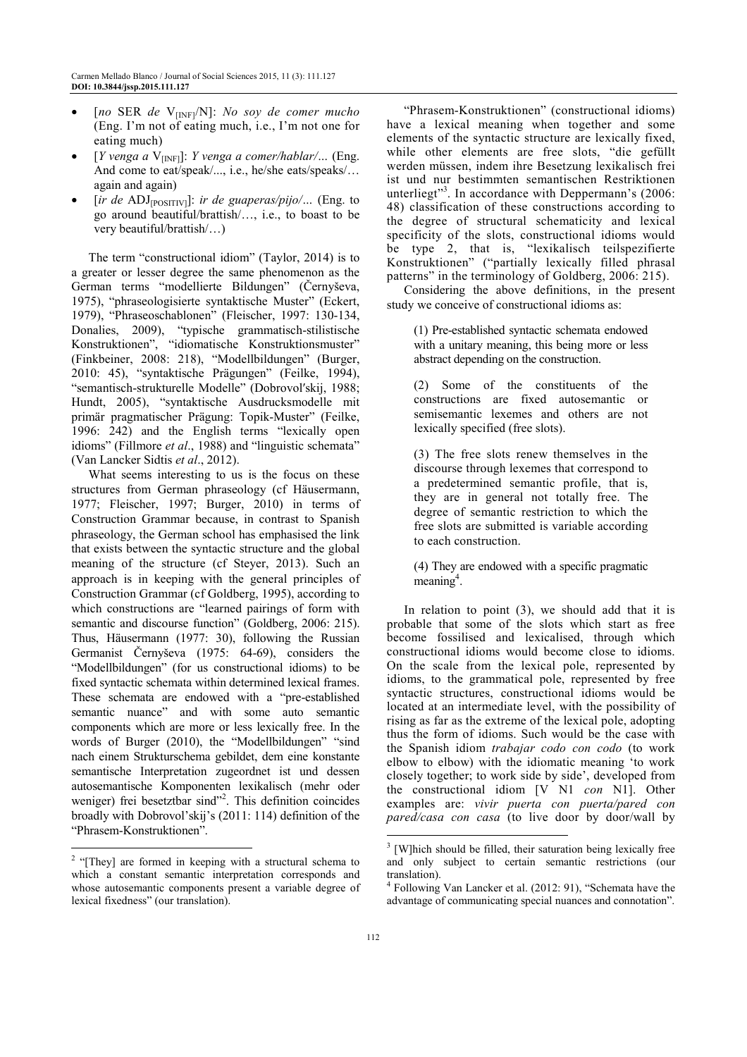- [no SER de V<sub>[INF]</sub>/N]: *No soy de comer mucho* (Eng. I'm not of eating much, i.e., I'm not one for eating much)
- [*Y venga a* V[INF]]: *Y venga a comer/hablar/…* (Eng. And come to eat/speak/..., i.e., he/she eats/speaks/… again and again)
- [*ir de* ADJ[POSITIV]]: *ir de guaperas/pijo/…* (Eng. to go around beautiful/brattish/…, i.e., to boast to be very beautiful/brattish/…)

The term "constructional idiom" (Taylor, 2014) is to a greater or lesser degree the same phenomenon as the German terms "modellierte Bildungen" (Černyševa, 1975), "phraseologisierte syntaktische Muster" (Eckert, 1979), "Phraseoschablonen" (Fleischer, 1997: 130-134, Donalies, 2009), "typische grammatisch-stilistische Konstruktionen", "idiomatische Konstruktionsmuster" (Finkbeiner, 2008: 218), "Modellbildungen" (Burger, 2010: 45), "syntaktische Prägungen" (Feilke, 1994), "semantisch-strukturelle Modelle" (Dobrovolʹskij, 1988; Hundt, 2005), "syntaktische Ausdrucksmodelle mit primär pragmatischer Prägung: Topik-Muster" (Feilke, 1996: 242) and the English terms "lexically open idioms" (Fillmore *et al*., 1988) and "linguistic schemata" (Van Lancker Sidtis *et al*., 2012).

What seems interesting to us is the focus on these structures from German phraseology (cf Häusermann, 1977; Fleischer, 1997; Burger, 2010) in terms of Construction Grammar because, in contrast to Spanish phraseology, the German school has emphasised the link that exists between the syntactic structure and the global meaning of the structure (cf Steyer, 2013). Such an approach is in keeping with the general principles of Construction Grammar (cf Goldberg, 1995), according to which constructions are "learned pairings of form with semantic and discourse function" (Goldberg, 2006: 215). Thus, Häusermann (1977: 30), following the Russian Germanist Černyševa (1975: 64-69), considers the "Modellbildungen" (for us constructional idioms) to be fixed syntactic schemata within determined lexical frames. These schemata are endowed with a "pre-established semantic nuance" and with some auto semantic components which are more or less lexically free. In the words of Burger (2010), the "Modellbildungen" "sind nach einem Strukturschema gebildet, dem eine konstante semantische Interpretation zugeordnet ist und dessen autosemantische Komponenten lexikalisch (mehr oder weniger) frei besetztbar sind"<sup>2</sup>. This definition coincides broadly with Dobrovol'skij's (2011: 114) definition of the "Phrasem-Konstruktionen".

"Phrasem-Konstruktionen" (constructional idioms) have a lexical meaning when together and some elements of the syntactic structure are lexically fixed, while other elements are free slots, "die gefüllt werden müssen, indem ihre Besetzung lexikalisch frei ist und nur bestimmten semantischen Restriktionen unterliegt"<sup>3</sup>. In accordance with Deppermann's  $(2006)$ : 48) classification of these constructions according to the degree of structural schematicity and lexical specificity of the slots, constructional idioms would be type 2, that is, "lexikalisch teilspezifierte Konstruktionen" ("partially lexically filled phrasal patterns" in the terminology of Goldberg, 2006: 215).

Considering the above definitions, in the present study we conceive of constructional idioms as:

(1) Pre-established syntactic schemata endowed with a unitary meaning, this being more or less abstract depending on the construction.

(2) Some of the constituents of the constructions are fixed autosemantic or semisemantic lexemes and others are not lexically specified (free slots).

(3) The free slots renew themselves in the discourse through lexemes that correspond to a predetermined semantic profile, that is, they are in general not totally free. The degree of semantic restriction to which the free slots are submitted is variable according to each construction.

(4) They are endowed with a specific pragmatic  $meaning<sup>4</sup>$ .

In relation to point (3), we should add that it is probable that some of the slots which start as free become fossilised and lexicalised, through which constructional idioms would become close to idioms. On the scale from the lexical pole, represented by idioms, to the grammatical pole, represented by free syntactic structures, constructional idioms would be located at an intermediate level, with the possibility of rising as far as the extreme of the lexical pole, adopting thus the form of idioms. Such would be the case with the Spanish idiom *trabajar codo con codo* (to work elbow to elbow) with the idiomatic meaning 'to work closely together; to work side by side', developed from the constructional idiom [V N1 *con* N1]. Other examples are: *vivir puerta con puerta/pared con pared/casa con casa* (to live door by door/wall by

<sup>&</sup>lt;sup>2</sup> "[They] are formed in keeping with a structural schema to which a constant semantic interpretation corresponds and whose autosemantic components present a variable degree of lexical fixedness" (our translation).

<sup>&</sup>lt;sup>3</sup> [W]hich should be filled, their saturation being lexically free and only subject to certain semantic restrictions (our translation).

<sup>&</sup>lt;sup>4</sup> Following Van Lancker et al. (2012: 91), "Schemata have the advantage of communicating special nuances and connotation".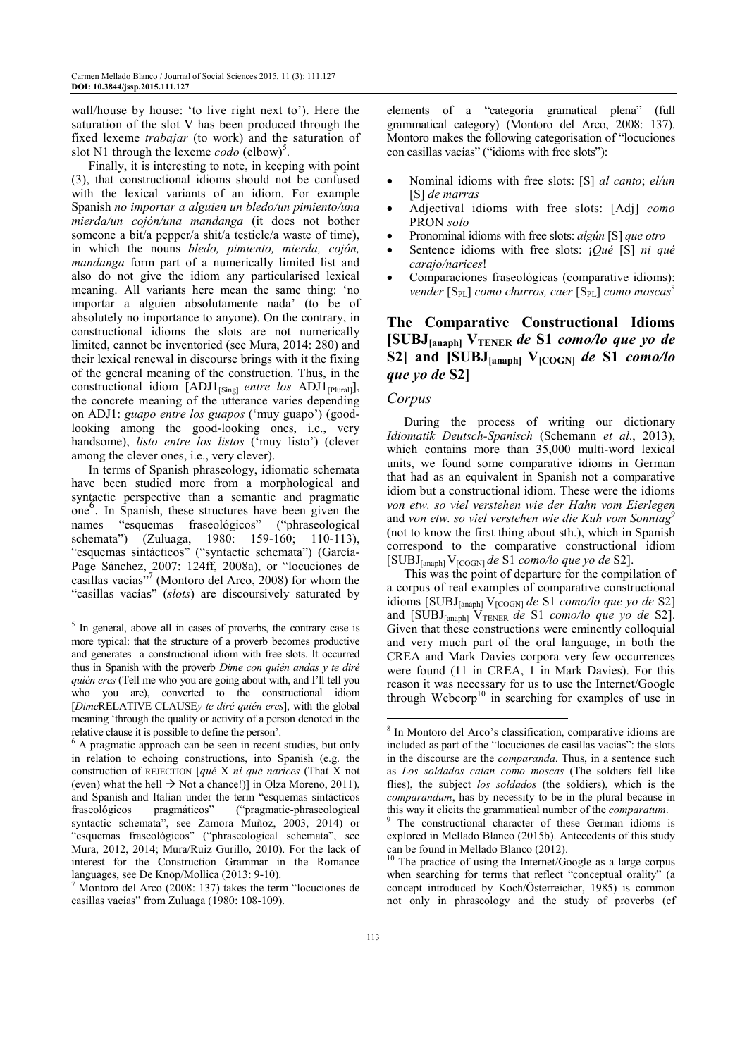wall/house by house: 'to live right next to'). Here the saturation of the slot V has been produced through the fixed lexeme *trabajar* (to work) and the saturation of slot N1 through the lexeme  $\text{code}$  (elbow)<sup>5</sup>.

Finally, it is interesting to note, in keeping with point (3), that constructional idioms should not be confused with the lexical variants of an idiom. For example Spanish *no importar a alguien un bledo/un pimiento/una mierda/un cojón/una mandanga* (it does not bother someone a bit/a pepper/a shit/a testicle/a waste of time), in which the nouns *bledo, pimiento, mierda, cojón, mandanga* form part of a numerically limited list and also do not give the idiom any particularised lexical meaning. All variants here mean the same thing: 'no importar a alguien absolutamente nada' (to be of absolutely no importance to anyone). On the contrary, in constructional idioms the slots are not numerically limited, cannot be inventoried (see Mura, 2014: 280) and their lexical renewal in discourse brings with it the fixing of the general meaning of the construction. Thus, in the constructional idiom [ADJ1<sub>[Sing]</sub> *entre los* ADJ1<sub>[Plural]</sub>], the concrete meaning of the utterance varies depending on ADJ1: *guapo entre los guapos* ('muy guapo') (goodlooking among the good-looking ones, i.e., very handsome), *listo entre los listos* ('muy listo') (clever among the clever ones, i.e., very clever).

In terms of Spanish phraseology, idiomatic schemata have been studied more from a morphological and syntactic perspective than a semantic and pragmatic one<sup>6</sup>. In Spanish, these structures have been given the names "esquemas fraseológicos" ("phraseological schemata") (Zuluaga, 1980: 159-160; 110-113), "esquemas sintácticos" ("syntactic schemata") (García-Page Sánchez, 2007: 124ff, 2008a), or "locuciones de casillas vacías"<sup>7</sup> (Montoro del Arco, 2008) for whom the "casillas vacías" (*slots*) are discoursively saturated by

 $\overline{a}$ 

elements of a "categoría gramatical plena" (full grammatical category) (Montoro del Arco, 2008: 137). Montoro makes the following categorisation of "locuciones con casillas vacías" ("idioms with free slots"):

- Nominal idioms with free slots: [S] *al canto*; *el/un* [S] *de marras*
- Adjectival idioms with free slots: [Adj] *como* PRON *solo*
- Pronominal idioms with free slots: *algún* [S] *que otro*
- Sentence idioms with free slots: ¡*Qué* [S] *ni qué carajo/narices*!
- Comparaciones fraseológicas (comparative idioms): *vender* [S<sub>PL</sub>] *como churros, caer* [S<sub>PL</sub>] *como moscas*<sup>8</sup>

# **The Comparative Constructional Idioms [SUBJ[anaph] VTENER** *de* **S1** *como/lo que yo de* **S2] and [SUBJ[anaph] V[COGN]** *de* **S1** *como/lo que yo de* **S2]**

### *Corpus*

During the process of writing our dictionary *Idiomatik Deutsch-Spanisch* (Schemann *et al*., 2013), which contains more than 35,000 multi-word lexical units, we found some comparative idioms in German that had as an equivalent in Spanish not a comparative idiom but a constructional idiom. These were the idioms *von etw. so viel verstehen wie der Hahn vom Eierlegen*  and *von etw. so viel verstehen wie die Kuh vom Sonntag*<sup>9</sup> (not to know the first thing about sth.), which in Spanish correspond to the comparative constructional idiom [SUBJ[anaph] V[COGN] *de* S1 *como/lo que yo de* S2].

This was the point of departure for the compilation of a corpus of real examples of comparative constructional idioms [SUBJ<sub>[anaph]</sub> V<sub>[COGN]</sub> *de* S1 *como/lo que yo de* S2] and [SUBJ<sub>[anaph]</sub>  $V_{\text{TENER}}$  *de* S1 *como/lo que yo de* S2]. Given that these constructions were eminently colloquial and very much part of the oral language, in both the CREA and Mark Davies corpora very few occurrences were found (11 in CREA, 1 in Mark Davies). For this reason it was necessary for us to use the Internet/Google through Webcorp<sup>10</sup> in searching for examples of use in

<sup>&</sup>lt;sup>5</sup> In general, above all in cases of proverbs, the contrary case is more typical: that the structure of a proverb becomes productive and generates a constructional idiom with free slots. It occurred thus in Spanish with the proverb *Dime con quién andas y te diré quién eres* (Tell me who you are going about with, and I'll tell you who you are), converted to the constructional idiom [*Dime*RELATIVE CLAUSE*y te diré quién eres*], with the global meaning 'through the quality or activity of a person denoted in the relative clause it is possible to define the person'.

<sup>&</sup>lt;sup>6</sup> A pragmatic approach can be seen in recent studies, but only in relation to echoing constructions, into Spanish (e.g. the construction of REJECTION [*qué* X *ni qué narices* (That X not (even) what the hell  $\rightarrow$  Not a chance!)] in Olza Moreno, 2011), and Spanish and Italian under the term "esquemas sintácticos fraseológicos pragmáticos" ("pragmatic-phraseological syntactic schemata", see Zamora Muñoz, 2003, 2014) or "esquemas fraseológicos" ("phraseological schemata", see Mura, 2012, 2014; Mura/Ruiz Gurillo, 2010). For the lack of interest for the Construction Grammar in the Romance languages, see De Knop/Mollica (2013: 9-10).

<sup>7</sup> Montoro del Arco (2008: 137) takes the term "locuciones de casillas vacías" from Zuluaga (1980: 108-109).

<sup>8</sup> In Montoro del Arco's classification, comparative idioms are included as part of the "locuciones de casillas vacías": the slots in the discourse are the *comparanda*. Thus, in a sentence such as *Los soldados caían como moscas* (The soldiers fell like flies), the subject *los soldados* (the soldiers), which is the *comparandum*, has by necessity to be in the plural because in this way it elicits the grammatical number of the *comparatum*.

<sup>9</sup> The constructional character of these German idioms is explored in Mellado Blanco (2015b). Antecedents of this study can be found in Mellado Blanco (2012).

<sup>&</sup>lt;sup>10</sup> The practice of using the Internet/Google as a large corpus when searching for terms that reflect "conceptual orality" (a concept introduced by Koch/Österreicher, 1985) is common not only in phraseology and the study of proverbs (cf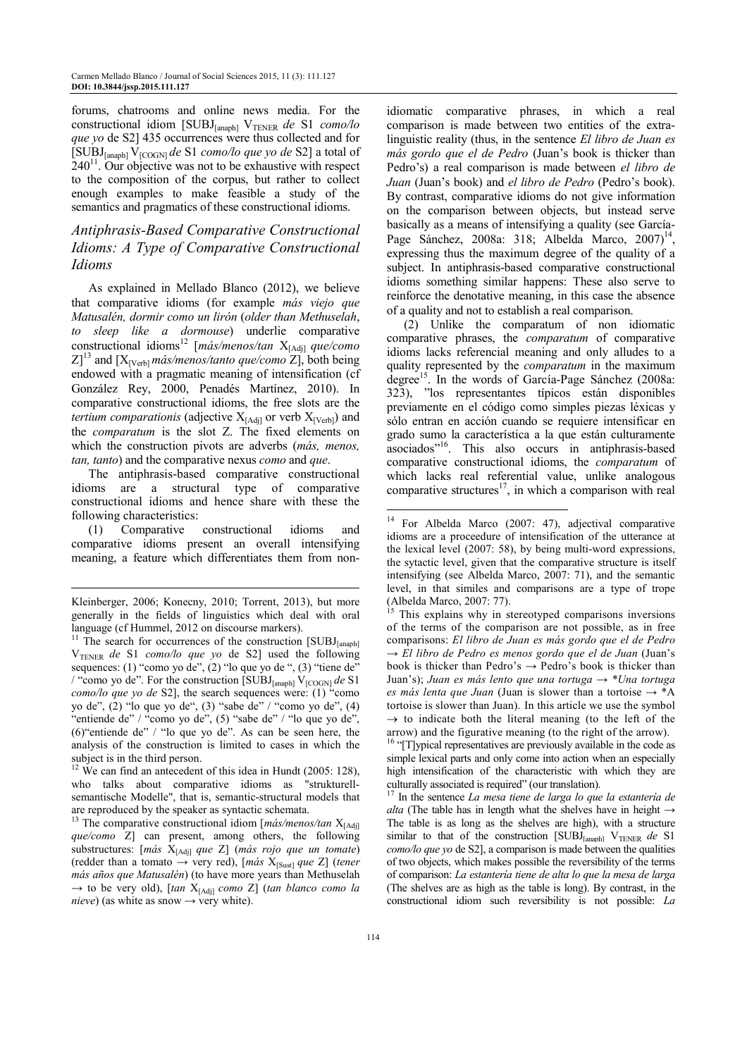forums, chatrooms and online news media. For the constructional idiom [SUBJ<sub>[anaph]</sub> V<sub>TENER</sub> de S1 *como/lo que yo* de S2] 435 occurrences were thus collected and for [SUBJ[anaph] V[COGN] *de* S1 *como/lo que yo de* S2] a total of  $240<sup>11</sup>$ . Our objective was not to be exhaustive with respect to the composition of the corpus, but rather to collect enough examples to make feasible a study of the semantics and pragmatics of these constructional idioms.

## *Antiphrasis-Based Comparative Constructional Idioms: A Type of Comparative Constructional Idioms*

As explained in Mellado Blanco (2012), we believe that comparative idioms (for example *más viejo que Matusalén, dormir como un lirón* (*older than Methuselah*, *to sleep like a dormouse*) underlie comparative constructional idioms<sup>12</sup> [*más/menos/tan* X[Adj] *que/como*  $Z$ <sup>13</sup> and  $[X_{\text{[Verb]}}$ *más/menos/tanto que/como*  $Z$ ], both being endowed with a pragmatic meaning of intensification (cf González Rey, 2000, Penadés Martínez, 2010). In comparative constructional idioms, the free slots are the *tertium comparationis* (adjective  $X_{[Adj]}$  or verb  $X_{[Verb]}$ ) and the *comparatum* is the slot Z. The fixed elements on which the construction pivots are adverbs (*más, menos, tan, tanto*) and the comparative nexus *como* and *que*.

The antiphrasis-based comparative constructional idioms are a structural type of comparative constructional idioms and hence share with these the following characteristics:

(1) Comparative constructional idioms and comparative idioms present an overall intensifying meaning, a feature which differentiates them from non-

-

 $12$  We can find an antecedent of this idea in Hundt (2005: 128), who talks about comparative idioms as "strukturellsemantische Modelle", that is, semantic-structural models that are reproduced by the speaker as syntactic schemata.

idiomatic comparative phrases, in which a real comparison is made between two entities of the extralinguistic reality (thus, in the sentence *El libro de Juan es más gordo que el de Pedro* (Juan's book is thicker than Pedro's) a real comparison is made between *el libro de Juan* (Juan's book) and *el libro de Pedro* (Pedro's book). By contrast, comparative idioms do not give information on the comparison between objects, but instead serve basically as a means of intensifying a quality (see García-Page Sánchez, 2008a: 318; Albelda Marco, 2007)<sup>14</sup>, expressing thus the maximum degree of the quality of a subject. In antiphrasis-based comparative constructional idioms something similar happens: These also serve to reinforce the denotative meaning, in this case the absence of a quality and not to establish a real comparison.

(2) Unlike the comparatum of non idiomatic comparative phrases, the *comparatum* of comparative idioms lacks referencial meaning and only alludes to a quality represented by the *comparatum* in the maximum degree<sup>15</sup>. In the words of García-Page Sánchez (2008a: 323), "los representantes típicos están disponibles previamente en el código como simples piezas léxicas y sólo entran en acción cuando se requiere intensificar en grado sumo la característica a la que están culturamente asociados"<sup>16</sup>. This also occurs in antiphrasis-based comparative constructional idioms, the *comparatum* of which lacks real referential value, unlike analogous comparative structures<sup>17</sup>, in which a comparison with real

<sup>16</sup> "[T]ypical representatives are previously available in the code as simple lexical parts and only come into action when an especially high intensification of the characteristic with which they are culturally associated is required" (our translation).

<sup>17</sup> In the sentence *La mesa tiene de larga lo que la estantería de alta* (The table has in length what the shelves have in height  $\rightarrow$ The table is as long as the shelves are high), with a structure similar to that of the construction [SUBJ<sub>[anaph]</sub> V<sub>TENER</sub> de S1 *como/lo que yo* de S2], a comparison is made between the qualities of two objects, which makes possible the reversibility of the terms of comparison: *La estantería tiene de alta lo que la mesa de larga* (The shelves are as high as the table is long). By contrast, in the constructional idiom such reversibility is not possible: *La* 

Kleinberger, 2006; Konecny, 2010; Torrent, 2013), but more generally in the fields of linguistics which deal with oral language (cf Hummel, 2012 on discourse markers).

<sup>&</sup>lt;sup>11</sup> The search for occurrences of the construction  $[SUBJ<sub>[anaph]</sub>$ VTENER *de* S1 *como/lo que yo* de S2] used the following sequences: (1) "como yo de", (2) "lo que yo de ", (3) "tiene de" / "como yo de". For the construction [SUBJ[anaph] V[COGN] *de* S1 *como/lo que yo de* S2], the search sequences were: (1) "como yo de", (2) "lo que yo de", (3) "sabe de" / "como yo de", (4) "entiende de" / "como yo de", (5) "sabe de" / "lo que yo de", (6)"entiende de" / "lo que yo de". As can be seen here, the analysis of the construction is limited to cases in which the subject is in the third person.

<sup>&</sup>lt;sup>13</sup> The comparative constructional idiom [*más/menos/tan*  $X_{[Adj]}$ *que/como* Z] can present, among others, the following substructures: [*más* X[Adj] *que* Z] (*más rojo que un tomate*) (redder than a tomato  $\rightarrow$  very red), [*más*  $X_{[Sust]}$  *que* Z] (*tener más años que Matusalén*) (to have more years than Methuselah → to be very old), [*tan* X[Adj] *como* Z] (*tan blanco como la nieve*) (as white as snow  $\rightarrow$  very white).

<sup>&</sup>lt;sup>14</sup> For Albelda Marco (2007: 47), adjectival comparative idioms are a proceedure of intensification of the utterance at the lexical level (2007: 58), by being multi-word expressions, the sytactic level, given that the comparative structure is itself intensifying (see Albelda Marco, 2007: 71), and the semantic level, in that similes and comparisons are a type of trope (Albelda Marco, 2007: 77).

This explains why in stereotyped comparisons inversions of the terms of the comparison are not possible, as in free comparisons: *El libro de Juan es más gordo que el de Pedro*  → *El libro de Pedro es menos gordo que el de Juan* (Juan's book is thicker than Pedro's  $\rightarrow$  Pedro's book is thicker than Juan's); *Juan es más lento que una tortuga* → *\*Una tortuga es más lenta que Juan* (Juan is slower than a tortoise  $\rightarrow$  \*A tortoise is slower than Juan). In this article we use the symbol  $\rightarrow$  to indicate both the literal meaning (to the left of the arrow) and the figurative meaning (to the right of the arrow).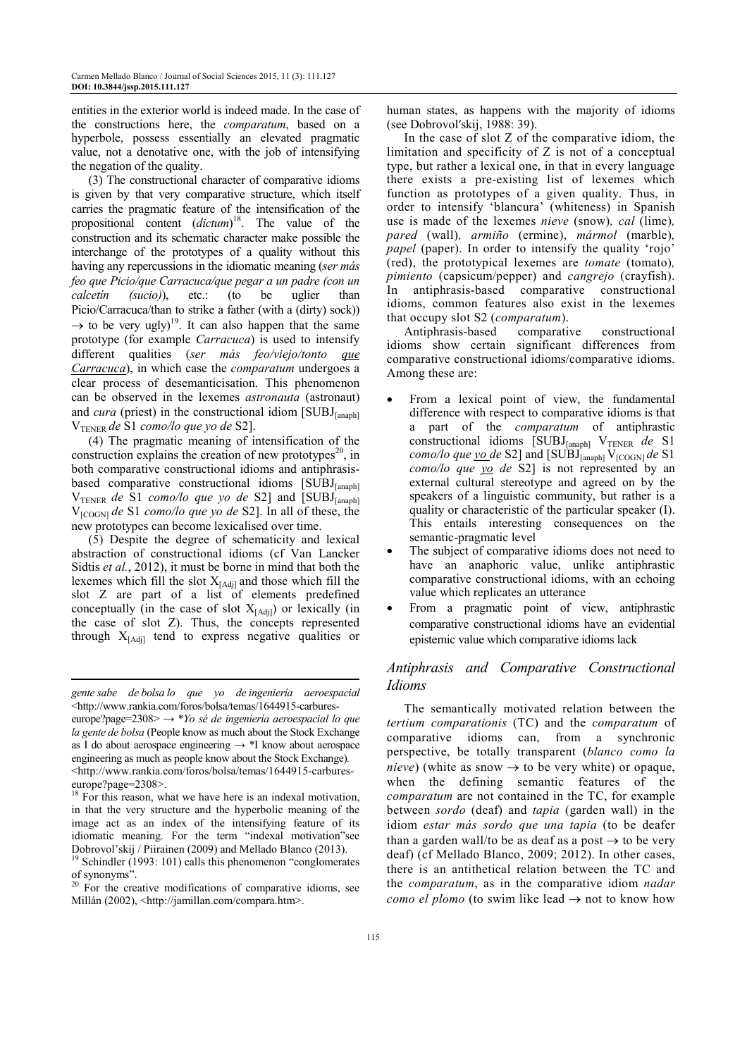entities in the exterior world is indeed made. In the case of the constructions here, the *comparatum*, based on a hyperbole, possess essentially an elevated pragmatic value, not a denotative one, with the job of intensifying the negation of the quality.

(3) The constructional character of comparative idioms is given by that very comparative structure, which itself carries the pragmatic feature of the intensification of the propositional content (*dictum*) <sup>18</sup>. The value of the construction and its schematic character make possible the interchange of the prototypes of a quality without this having any repercussions in the idiomatic meaning (*ser más feo que Picio/que Carracuca/que pegar a un padre (con un calcetín (sucio)*), etc.: (to be uglier than Picio/Carracuca/than to strike a father (with a (dirty) sock))  $\rightarrow$  to be very ugly)<sup>19</sup>. It can also happen that the same prototype (for example *Carracuca*) is used to intensify different qualities (*ser más feo/viejo/tonto que Carracuca*), in which case the *comparatum* undergoes a clear process of desemanticisation. This phenomenon can be observed in the lexemes *astronauta* (astronaut) and *cura* (priest) in the constructional idiom  $[SUBJ<sub>[anaph1]</sub>$ VTENER *de* S1 *como/lo que yo de* S2].

(4) The pragmatic meaning of intensification of the construction explains the creation of new prototypes<sup>20</sup>, in both comparative constructional idioms and antiphrasisbased comparative constructional idioms  $[SUBJ_{[anaph]}]$ V<sub>TENER</sub> de S1 *como/lo que yo de* S2] and [SUBJ<sub>[anaph]</sub> V[COGN] *de* S1 *como/lo que yo de* S2]. In all of these, the new prototypes can become lexicalised over time.

(5) Despite the degree of schematicity and lexical abstraction of constructional idioms (cf Van Lancker Sidtis *et al.*, 2012), it must be borne in mind that both the lexemes which fill the slot  $X_{[Adj]}$  and those which fill the slot Z are part of a list of elements predefined conceptually (in the case of slot  $X_{[Adil]}$ ) or lexically (in the case of slot Z). Thus, the concepts represented through  $X_{[Adi]}$  tend to express negative qualities or

-

human states, as happens with the majority of idioms (see Dobrovolʹskij, 1988: 39).

In the case of slot Z of the comparative idiom, the limitation and specificity of Z is not of a conceptual type, but rather a lexical one, in that in every language there exists a pre-existing list of lexemes which function as prototypes of a given quality. Thus, in order to intensify 'blancura' (whiteness) in Spanish use is made of the lexemes *nieve* (snow)*, cal* (lime)*, pared* (wall)*, armiño* (ermine), *mármol* (marble)*, papel* (paper). In order to intensify the quality 'rojo' (red), the prototypical lexemes are *tomate* (tomato)*, pimiento* (capsicum/pepper) and *cangrejo* (crayfish). In antiphrasis-based comparative constructional idioms, common features also exist in the lexemes that occupy slot S2 (*comparatum*).

Antiphrasis-based comparative constructional idioms show certain significant differences from comparative constructional idioms/comparative idioms. Among these are:

- From a lexical point of view, the fundamental difference with respect to comparative idioms is that a part of the *comparatum* of antiphrastic constructional idioms [SUBJ<sub>[anaph]</sub> V<sub>TENER</sub> de S1 *como/lo que <u>yo de*</u> S2] and  $[SUBJ_{[anaph]} V_{[COGN]}$  *de* S1 *como/lo que yo de* S2] is not represented by an external cultural stereotype and agreed on by the speakers of a linguistic community, but rather is a quality or characteristic of the particular speaker (I). This entails interesting consequences on the semantic-pragmatic level
- The subject of comparative idioms does not need to have an anaphoric value, unlike antiphrastic comparative constructional idioms, with an echoing value which replicates an utterance
- From a pragmatic point of view, antiphrastic comparative constructional idioms have an evidential epistemic value which comparative idioms lack

## *Antiphrasis and Comparative Constructional Idioms*

The semantically motivated relation between the *tertium comparationis* (TC) and the *comparatum* of comparative idioms can, from a synchronic perspective, be totally transparent (*blanco como la nieve*) (white as snow  $\rightarrow$  to be very white) or opaque, when the defining semantic features of the *comparatum* are not contained in the TC, for example between *sordo* (deaf) and *tapia* (garden wall) in the idiom *estar más sordo que una tapia* (to be deafer than a garden wall/to be as deaf as a post  $\rightarrow$  to be very deaf) (cf Mellado Blanco, 2009; 2012). In other cases, there is an antithetical relation between the TC and the *comparatum*, as in the comparative idiom *nadar como el plomo* (to swim like lead  $\rightarrow$  not to know how

*gente sabe de bolsa lo que yo de ingeniería aeroespacial*  <http://www.rankia.com/foros/bolsa/temas/1644915-carbures-

europe?page=2308> → \**Yo sé de ingeniería aeroespacial lo que la gente de bolsa* (People know as much about the Stock Exchange as I do about aerospace engineering  $\rightarrow$  \*I know about aerospace engineering as much as people know about the Stock Exchange)*.* <http://www.rankia.com/foros/bolsa/temas/1644915-carbureseurope?page=2308>.

 $18$  For this reason, what we have here is an indexal motivation, in that the very structure and the hyperbolic meaning of the image act as an index of the intensifying feature of its idiomatic meaning. For the term "indexal motivation"see Dobrovol'skij / Piirainen (2009) and Mellado Blanco (2013).

<sup>&</sup>lt;sup>19</sup> Schindler (1993: 101) calls this phenomenon "conglomerates of synonyms".

 $20$  For the creative modifications of comparative idioms, see Millán (2002), <http://jamillan.com/compara.htm>.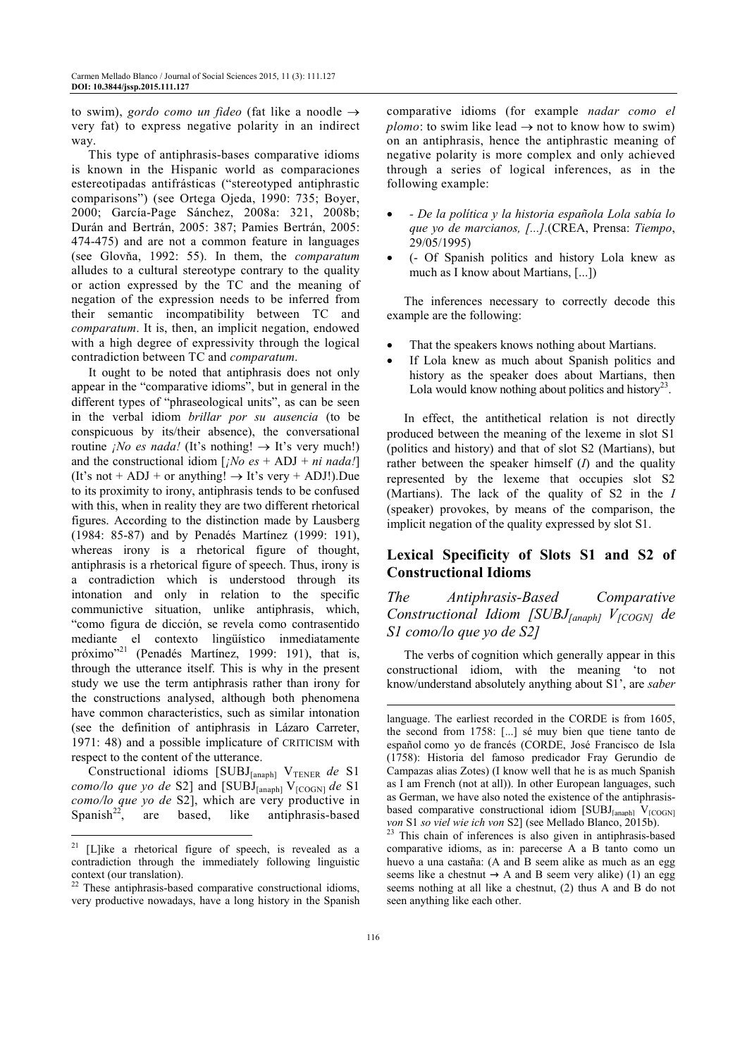to swim), *gordo como un fideo* (fat like a noodle  $\rightarrow$ very fat) to express negative polarity in an indirect way.

This type of antiphrasis-bases comparative idioms is known in the Hispanic world as comparaciones estereotipadas antifrásticas ("stereotyped antiphrastic comparisons") (see Ortega Ojeda, 1990: 735; Boyer, 2000; García-Page Sánchez, 2008a: 321, 2008b; Durán and Bertrán, 2005: 387; Pamies Bertrán, 2005: 474-475) and are not a common feature in languages (see Glovňa, 1992: 55). In them, the *comparatum* alludes to a cultural stereotype contrary to the quality or action expressed by the TC and the meaning of negation of the expression needs to be inferred from their semantic incompatibility between TC and *comparatum*. It is, then, an implicit negation, endowed with a high degree of expressivity through the logical contradiction between TC and *comparatum*.

It ought to be noted that antiphrasis does not only appear in the "comparative idioms", but in general in the different types of "phraseological units", as can be seen in the verbal idiom *brillar por su ausencia* (to be conspicuous by its/their absence), the conversational routine *¡No es nada!* (It's nothing!  $\rightarrow$  It's very much!) and the constructional idiom  $[iNo \text{ es } + ADJ + ni \text{ nada}!]$ (It's not + ADJ + or anything!  $\rightarrow$  It's very + ADJ!).Due to its proximity to irony, antiphrasis tends to be confused with this, when in reality they are two different rhetorical figures. According to the distinction made by Lausberg (1984: 85-87) and by Penadés Martínez (1999: 191), whereas irony is a rhetorical figure of thought, antiphrasis is a rhetorical figure of speech. Thus, irony is a contradiction which is understood through its intonation and only in relation to the specific communictive situation, unlike antiphrasis, which, "como figura de dicción, se revela como contrasentido mediante el contexto lingüístico inmediatamente próximo"<sup>21</sup> (Penadés Martínez, 1999: 191), that is, through the utterance itself. This is why in the present study we use the term antiphrasis rather than irony for the constructions analysed, although both phenomena have common characteristics, such as similar intonation (see the definition of antiphrasis in Lázaro Carreter, 1971: 48) and a possible implicature of CRITICISM with respect to the content of the utterance.

Constructional idioms [SUBJ<sub>[anaph]</sub> V<sub>TENER</sub> de S1 *como/lo que yo de* S2] and [SUBJ[anaph] V[COGN] *de* S1 *como/lo que yo de* S2], which are very productive in Spanish<sup>22</sup>, are based, like antiphrasis-based

 $\overline{a}$ 

comparative idioms (for example *nadar como el plomo*: to swim like lead  $\rightarrow$  not to know how to swim) on an antiphrasis, hence the antiphrastic meaning of negative polarity is more complex and only achieved through a series of logical inferences, as in the following example:

- *De la política y la historia española Lola sabía lo que yo de marcianos, [...].*(CREA, Prensa: *Tiempo*, 29/05/1995)
- (- Of Spanish politics and history Lola knew as much as I know about Martians, [...])

The inferences necessary to correctly decode this example are the following:

- That the speakers knows nothing about Martians.
- If Lola knew as much about Spanish politics and history as the speaker does about Martians, then Lola would know nothing about politics and history<sup>23</sup>.

In effect, the antithetical relation is not directly produced between the meaning of the lexeme in slot S1 (politics and history) and that of slot S2 (Martians), but rather between the speaker himself (*I*) and the quality represented by the lexeme that occupies slot S2 (Martians). The lack of the quality of S2 in the *I* (speaker) provokes, by means of the comparison, the implicit negation of the quality expressed by slot S1.

# **Lexical Specificity of Slots S1 and S2 of Constructional Idioms**

*The Antiphrasis-Based Comparative Constructional Idiom [SUBJ[anaph] V[COGN] de S1 como/lo que yo de S2]*

The verbs of cognition which generally appear in this constructional idiom, with the meaning 'to not know/understand absolutely anything about S1', are *saber*

-

 $21$  [L]ike a rhetorical figure of speech, is revealed as a contradiction through the immediately following linguistic context (our translation).

<sup>&</sup>lt;sup>22</sup> These antiphrasis-based comparative constructional idioms, very productive nowadays, have a long history in the Spanish

language. The earliest recorded in the CORDE is from 1605, the second from 1758: [...] sé muy bien que tiene tanto de español como yo de francés (CORDE, José Francisco de Isla (1758): Historia del famoso predicador Fray Gerundio de Campazas alias Zotes) (I know well that he is as much Spanish as I am French (not at all)). In other European languages, such as German, we have also noted the existence of the antiphrasisbased comparative constructional idiom  $[SUBJ<sub>[anaph]</sub> V<sub>[COGN]</sub>$ *von* S1 *so viel wie ich von* S2] (see Mellado Blanco, 2015b).

<sup>&</sup>lt;sup>23</sup> This chain of inferences is also given in antiphrasis-based comparative idioms, as in: parecerse A a B tanto como un huevo a una castaña: (A and B seem alike as much as an egg seems like a chestnut  $\rightarrow$  A and B seem very alike) (1) an egg seems nothing at all like a chestnut, (2) thus A and B do not seen anything like each other.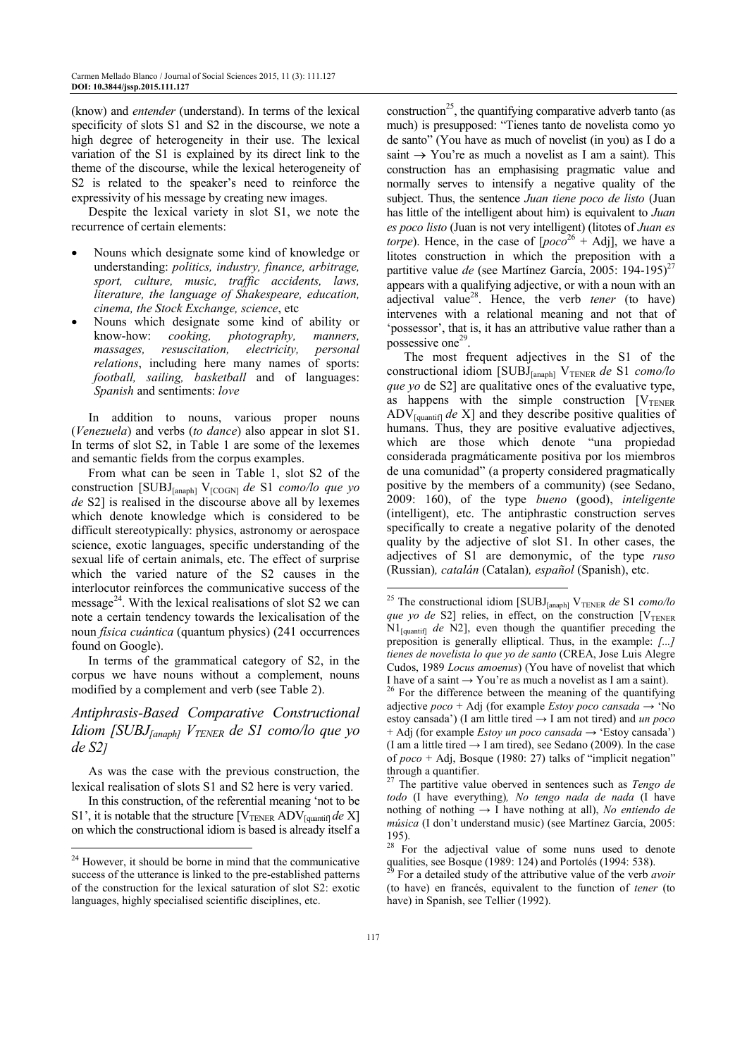(know) and *entender* (understand). In terms of the lexical specificity of slots S1 and S2 in the discourse, we note a high degree of heterogeneity in their use. The lexical variation of the S1 is explained by its direct link to the theme of the discourse, while the lexical heterogeneity of S<sub>2</sub> is related to the speaker's need to reinforce the expressivity of his message by creating new images.

Despite the lexical variety in slot S1, we note the recurrence of certain elements:

- Nouns which designate some kind of knowledge or understanding: *politics, industry, finance, arbitrage, sport, culture, music, traffic accidents, laws, literature, the language of Shakespeare, education, cinema, the Stock Exchange, science*, etc
- Nouns which designate some kind of ability or know-how: *cooking, photography, manners, massages, resuscitation, electricity, personal relations*, including here many names of sports: *football, sailing, basketball* and of languages: *Spanish* and sentiments: *love*

In addition to nouns, various proper nouns (*Venezuela*) and verbs (*to dance*) also appear in slot S1. In terms of slot S2, in Table 1 are some of the lexemes and semantic fields from the corpus examples.

From what can be seen in Table 1, slot S2 of the construction [SUBJ<sub>[anaph]</sub> V<sub>[COGN]</sub> *de* S1 *como/lo que yo de* S2] is realised in the discourse above all by lexemes which denote knowledge which is considered to be difficult stereotypically: physics, astronomy or aerospace science, exotic languages, specific understanding of the sexual life of certain animals, etc. The effect of surprise which the varied nature of the S2 causes in the interlocutor reinforces the communicative success of the message $^{24}$ . With the lexical realisations of slot S2 we can note a certain tendency towards the lexicalisation of the noun *física cuántica* (quantum physics) (241 occurrences found on Google).

In terms of the grammatical category of S2, in the corpus we have nouns without a complement, nouns modified by a complement and verb (see Table 2).

## *Antiphrasis-Based Comparative Constructional Idiom [SUBJ[anaph] VTENER de S1 como/lo que yo de S2]*

As was the case with the previous construction, the lexical realisation of slots S1 and S2 here is very varied.

In this construction, of the referential meaning 'not to be S1', it is notable that the structure  $[V_{TENER} ADV_{[quantif]}$  *de X*] on which the constructional idiom is based is already itself a

 $\overline{a}$ 

construction<sup>25</sup>, the quantifying comparative adverb tanto (as much) is presupposed: "Tienes tanto de novelista como yo de santo" (You have as much of novelist (in you) as I do a saint  $\rightarrow$  You're as much a novelist as I am a saint). This construction has an emphasising pragmatic value and normally serves to intensify a negative quality of the subject. Thus, the sentence *Juan tiene poco de listo* (Juan has little of the intelligent about him) is equivalent to *Juan es poco listo* (Juan is not very intelligent) (litotes of *Juan es torpe*). Hence, in the case of  $[poco^{26} + Adj]$ , we have a litotes construction in which the preposition with a partitive value *de* (see Martínez García, 2005: 194-195)<sup>27</sup> appears with a qualifying adjective, or with a noun with an adjectival value<sup>28</sup>. Hence, the verb *tener* (to have) intervenes with a relational meaning and not that of 'possessor', that is, it has an attributive value rather than a possessive one<sup>29</sup>.

The most frequent adjectives in the S1 of the constructional idiom [SUBJ<sub>[anaph]</sub> V<sub>TENER</sub> de S1 *como/lo que yo* de S2] are qualitative ones of the evaluative type, as happens with the simple construction  $[V_{TENER}$ ADV[quantif] *de* X] and they describe positive qualities of humans. Thus, they are positive evaluative adjectives, which are those which denote "una propiedad considerada pragmáticamente positiva por los miembros de una comunidad" (a property considered pragmatically positive by the members of a community) (see Sedano, 2009: 160), of the type *bueno* (good), *inteligente* (intelligent), etc. The antiphrastic construction serves specifically to create a negative polarity of the denoted quality by the adjective of slot S1. In other cases, the adjectives of S1 are demonymic, of the type *ruso*  (Russian)*, catalán* (Catalan)*, español* (Spanish), etc.

 $24$  However, it should be borne in mind that the communicative success of the utterance is linked to the pre-established patterns of the construction for the lexical saturation of slot S2: exotic languages, highly specialised scientific disciplines, etc.

<sup>&</sup>lt;sup>25</sup> The constructional idiom  $[SUBJ<sub>[anaph]</sub> V<sub>TENER</sub>$  *de* S1 *como/lo que yo de* S2] relies, in effect, on the construction  $[V_{TENER}$ N1<sub>[quantif]</sub> de N2], even though the quantifier preceding the preposition is generally elliptical. Thus, in the example: *[...] tienes de novelista lo que yo de santo* (CREA, Jose Luis Alegre Cudos, 1989 *Locus amoenus*) (You have of novelist that which I have of a saint  $\rightarrow$  You're as much a novelist as I am a saint).

<sup>&</sup>lt;sup>26</sup> For the difference between the meaning of the quantifying adjective *poco* + Adj (for example *Estoy poco cansada* → 'No estoy cansada') (I am little tired → I am not tired) and *un poco* + Adj (for example *Estoy un poco cansada* → 'Estoy cansada') (I am a little tired  $\rightarrow$  I am tired), see Sedano (2009). In the case of *poco* + Adj, Bosque (1980: 27) talks of "implicit negation" through a quantifier.

<sup>27</sup> The partitive value oberved in sentences such as *Tengo de todo* (I have everything)*, No tengo nada de nada* (I have nothing of nothing  $\rightarrow$  I have nothing at all), *No entiendo de música* (I don't understand music) (see Martínez García, 2005: 195).

 $28$  For the adjectival value of some nuns used to denote qualities, see Bosque (1989: 124) and Portolés (1994: 538).

<sup>29</sup> For a detailed study of the attributive value of the verb *avoir* (to have) en francés, equivalent to the function of *tener* (to have) in Spanish, see Tellier (1992).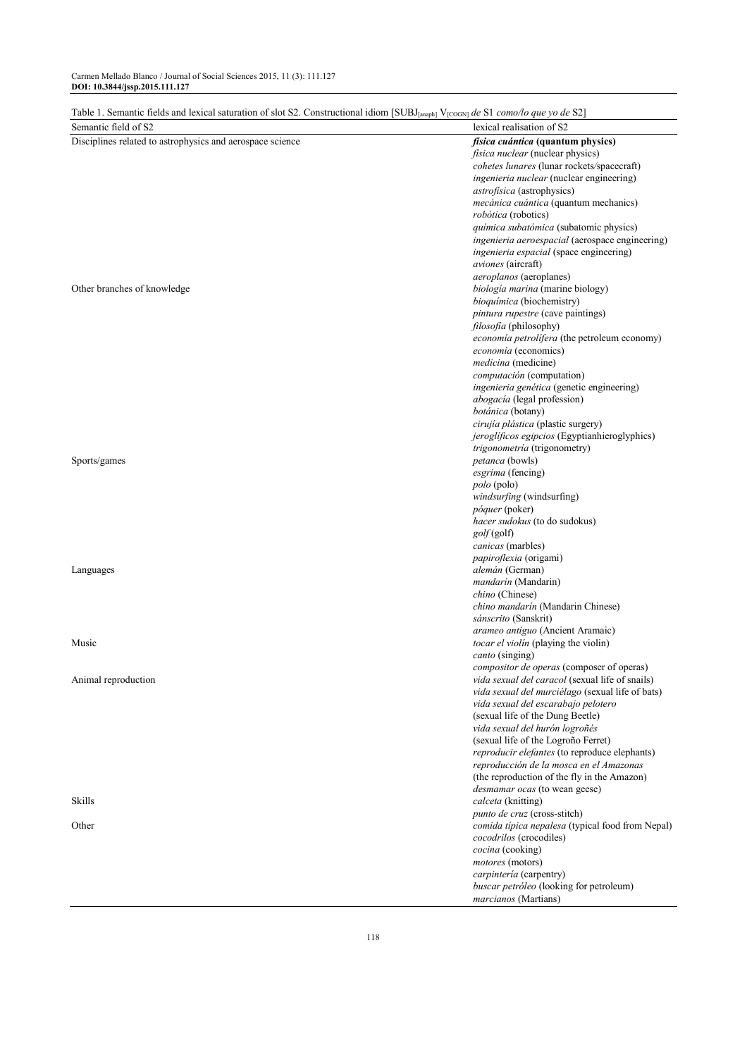| Table 1. Semantic fields and lexical saturation of slot S2. Constructional idiom [SUBJ <sub>[anaph]</sub> V <sub>[COGN]</sub> de S1 como/lo que yo de S2] |                                                                                        |  |  |
|-----------------------------------------------------------------------------------------------------------------------------------------------------------|----------------------------------------------------------------------------------------|--|--|
| Semantic field of S2                                                                                                                                      | lexical realisation of S2                                                              |  |  |
| Disciplines related to astrophysics and aerospace science                                                                                                 | física cuántica (quantum physics)                                                      |  |  |
|                                                                                                                                                           | <i>física nuclear</i> (nuclear physics)                                                |  |  |
|                                                                                                                                                           | cohetes lunares (lunar rockets/spacecraft)                                             |  |  |
|                                                                                                                                                           | ingenieria nuclear (nuclear engineering)                                               |  |  |
|                                                                                                                                                           | astrofísica (astrophysics)                                                             |  |  |
|                                                                                                                                                           | mecánica cuántica (quantum mechanics)                                                  |  |  |
|                                                                                                                                                           | robótica (robotics)                                                                    |  |  |
|                                                                                                                                                           | química subatómica (subatomic physics)                                                 |  |  |
|                                                                                                                                                           | ingenieria aeroespacial (aerospace engineering)                                        |  |  |
|                                                                                                                                                           | ingenieria espacial (space engineering)                                                |  |  |
|                                                                                                                                                           | aviones (aircraft)                                                                     |  |  |
|                                                                                                                                                           | <i>aeroplanos</i> (aeroplanes)                                                         |  |  |
| Other branches of knowledge                                                                                                                               | biología marina (marine biology)                                                       |  |  |
|                                                                                                                                                           | bioquímica (biochemistry)                                                              |  |  |
|                                                                                                                                                           | <i>pintura rupestre</i> (cave paintings)                                               |  |  |
|                                                                                                                                                           | <i>filosofia</i> (philosophy)                                                          |  |  |
|                                                                                                                                                           | economía petrolífera (the petroleum economy)                                           |  |  |
|                                                                                                                                                           | economía (economics)                                                                   |  |  |
|                                                                                                                                                           | <i>medicina</i> (medicine)<br>computación (computation)                                |  |  |
|                                                                                                                                                           | ingenieria genética (genetic engineering)                                              |  |  |
|                                                                                                                                                           | <i>abogacía</i> (legal profession)                                                     |  |  |
|                                                                                                                                                           | botánica (botany)                                                                      |  |  |
|                                                                                                                                                           | cirujía plástica (plastic surgery)                                                     |  |  |
|                                                                                                                                                           | <i>jeroglificos egipcios</i> (Egyptianhieroglyphics)                                   |  |  |
|                                                                                                                                                           | trigonometría (trigonometry)                                                           |  |  |
| Sports/games                                                                                                                                              | <i>petanca</i> (bowls)                                                                 |  |  |
|                                                                                                                                                           | esgrima (fencing)                                                                      |  |  |
|                                                                                                                                                           | <i>polo</i> (polo)                                                                     |  |  |
|                                                                                                                                                           | windsurfing (windsurfing)                                                              |  |  |
|                                                                                                                                                           | póquer (poker)                                                                         |  |  |
|                                                                                                                                                           | hacer sudokus (to do sudokus)                                                          |  |  |
|                                                                                                                                                           | golf(golf)                                                                             |  |  |
|                                                                                                                                                           | canicas (marbles)                                                                      |  |  |
|                                                                                                                                                           | papiroflexia (origami)                                                                 |  |  |
| Languages                                                                                                                                                 | alemán (German)                                                                        |  |  |
|                                                                                                                                                           | mandarín (Mandarin)<br>chino (Chinese)                                                 |  |  |
|                                                                                                                                                           | chino mandarín (Mandarin Chinese)                                                      |  |  |
|                                                                                                                                                           | sánscrito (Sanskrit)                                                                   |  |  |
|                                                                                                                                                           | arameo antiguo (Ancient Aramaic)                                                       |  |  |
| Music                                                                                                                                                     | <i>tocar el violín</i> (playing the violin)                                            |  |  |
|                                                                                                                                                           | <i>canto</i> (singing)                                                                 |  |  |
|                                                                                                                                                           | compositor de operas (composer of operas)                                              |  |  |
| Animal reproduction                                                                                                                                       | vida sexual del caracol (sexual life of snails)                                        |  |  |
|                                                                                                                                                           | vida sexual del murciélago (sexual life of bats)                                       |  |  |
|                                                                                                                                                           | vida sexual del escarabajo pelotero                                                    |  |  |
|                                                                                                                                                           | (sexual life of the Dung Beetle)                                                       |  |  |
|                                                                                                                                                           | vida sexual del hurón logroñés                                                         |  |  |
|                                                                                                                                                           | (sexual life of the Logroño Ferret)                                                    |  |  |
|                                                                                                                                                           | reproducir elefantes (to reproduce elephants)                                          |  |  |
|                                                                                                                                                           | reproducción de la mosca en el Amazonas<br>(the reproduction of the fly in the Amazon) |  |  |
|                                                                                                                                                           |                                                                                        |  |  |
| Skills                                                                                                                                                    | <i>desmamar ocas</i> (to wean geese)<br>calceta (knitting)                             |  |  |
|                                                                                                                                                           | punto de cruz (cross-stitch)                                                           |  |  |
| Other                                                                                                                                                     | comida típica nepalesa (typical food from Nepal)                                       |  |  |
|                                                                                                                                                           | cocodrilos (crocodiles)                                                                |  |  |
|                                                                                                                                                           | cocina (cooking)                                                                       |  |  |
|                                                                                                                                                           | motores (motors)                                                                       |  |  |
|                                                                                                                                                           | carpintería (carpentry)                                                                |  |  |
|                                                                                                                                                           | buscar petróleo (looking for petroleum)                                                |  |  |
|                                                                                                                                                           | <i>marcianos</i> (Martians)                                                            |  |  |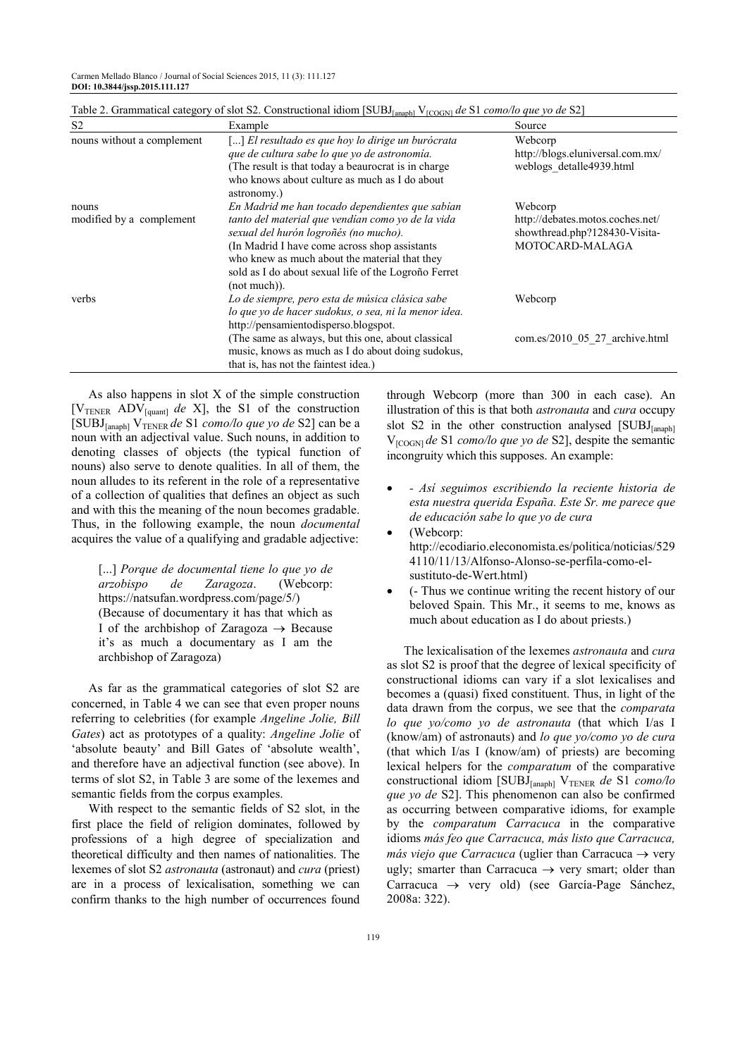Carmen Mellado Blanco / Journal of Social Sciences 2015, 11 (3): 111.127 **DOI: 10.3844/jssp.2015.111.127**

| S <sub>2</sub>             | Example                                                                                                                                                                                                                                                                  | Source                                                                               |
|----------------------------|--------------------------------------------------------------------------------------------------------------------------------------------------------------------------------------------------------------------------------------------------------------------------|--------------------------------------------------------------------------------------|
| nouns without a complement | [] El resultado es que hoy lo dirige un burócrata<br>que de cultura sabe lo que yo de astronomía.<br>(The result is that today a beaurocrat is in charge)<br>who knows about culture as much as I do about<br>astronomy.)                                                | Webcorp<br>http://blogs.eluniversal.com.mx/<br>weblogs detaile4939.html              |
| nouns                      | En Madrid me han tocado dependientes que sabían                                                                                                                                                                                                                          | Webcorp                                                                              |
| modified by a complement   | tanto del material que vendían como yo de la vida<br>sexual del hurón logroñés (no mucho).<br>(In Madrid I have come across shop assistants)<br>who knew as much about the material that they<br>sold as I do about sexual life of the Logrono Ferret<br>$(not much)$ ). | http://debates.motos.coches.net/<br>showthread.php?128430-Visita-<br>MOTOCARD-MALAGA |
| verbs                      | Lo de siempre, pero esta de música clásica sabe<br>lo que yo de hacer sudokus, o sea, ni la menor idea.<br>http://pensamientodisperso.blogspot.                                                                                                                          | Webcorp                                                                              |
|                            | (The same as always, but this one, about classical<br>music, knows as much as I do about doing sudokus,<br>that is, has not the faintest idea.)                                                                                                                          | com.es/2010 05 27 archive.html                                                       |

Table 2. Grammatical category of slot S2. Constructional idiom [SUBJ<sub>[anaph]</sub> V<sub>[COGN]</sub> *de* S1 *como/lo que yo de* S2]

As also happens in slot X of the simple construction [ $V_{\text{TENER}}$  ADV<sub>[quant]</sub> *de* X], the S1 of the construction [SUBJ[anaph] VTENER *de* S1 *como/lo que yo de* S2] can be a noun with an adjectival value. Such nouns, in addition to denoting classes of objects (the typical function of nouns) also serve to denote qualities. In all of them, the noun alludes to its referent in the role of a representative of a collection of qualities that defines an object as such and with this the meaning of the noun becomes gradable. Thus, in the following example, the noun *documental* acquires the value of a qualifying and gradable adjective:

[...] *Porque de documental tiene lo que yo de arzobispo de Zaragoza*. (Webcorp: https://natsufan.wordpress.com/page/5/) (Because of documentary it has that which as I of the archbishop of Zaragoza  $\rightarrow$  Because it's as much a documentary as I am the archbishop of Zaragoza)

As far as the grammatical categories of slot S2 are concerned, in Table 4 we can see that even proper nouns referring to celebrities (for example *Angeline Jolie, Bill Gates*) act as prototypes of a quality: *Angeline Jolie* of 'absolute beauty' and Bill Gates of 'absolute wealth', and therefore have an adjectival function (see above). In terms of slot S2, in Table 3 are some of the lexemes and semantic fields from the corpus examples.

With respect to the semantic fields of S2 slot, in the first place the field of religion dominates, followed by professions of a high degree of specialization and theoretical difficulty and then names of nationalities. The lexemes of slot S2 *astronauta* (astronaut) and *cura* (priest) are in a process of lexicalisation, something we can confirm thanks to the high number of occurrences found

through Webcorp (more than 300 in each case). An illustration of this is that both *astronauta* and *cura* occupy slot S2 in the other construction analysed  $[SUBJ<sub>[anaph1}]</sub>$ V[COGN] *de* S1 *como/lo que yo de* S2], despite the semantic incongruity which this supposes. An example:

- *Así seguimos escribiendo la reciente historia de esta nuestra querida España. Este Sr. me parece que de educación sabe lo que yo de cura*
- (Webcorp: http://ecodiario.eleconomista.es/politica/noticias/529 4110/11/13/Alfonso-Alonso-se-perfila-como-elsustituto-de-Wert.html)
- (- Thus we continue writing the recent history of our beloved Spain. This Mr., it seems to me, knows as much about education as I do about priests.)

The lexicalisation of the lexemes *astronauta* and *cura* as slot S2 is proof that the degree of lexical specificity of constructional idioms can vary if a slot lexicalises and becomes a (quasi) fixed constituent. Thus, in light of the data drawn from the corpus, we see that the *comparata lo que yo/como yo de astronauta* (that which I/as I (know/am) of astronauts) and *lo que yo/como yo de cura* (that which I/as I (know/am) of priests) are becoming lexical helpers for the *comparatum* of the comparative constructional idiom [SUBJ<sub>[anaph]</sub> V<sub>TENER</sub> de S1 *como/lo que yo de* S2]. This phenomenon can also be confirmed as occurring between comparative idioms, for example by the *comparatum Carracuca* in the comparative idioms *más feo que Carracuca, más listo que Carracuca, más viejo que Carracuca* (uglier than Carracuca  $\rightarrow$  very ugly; smarter than Carracuca  $\rightarrow$  very smart; older than Carracuca → very old) (see García-Page Sánchez, 2008a: 322).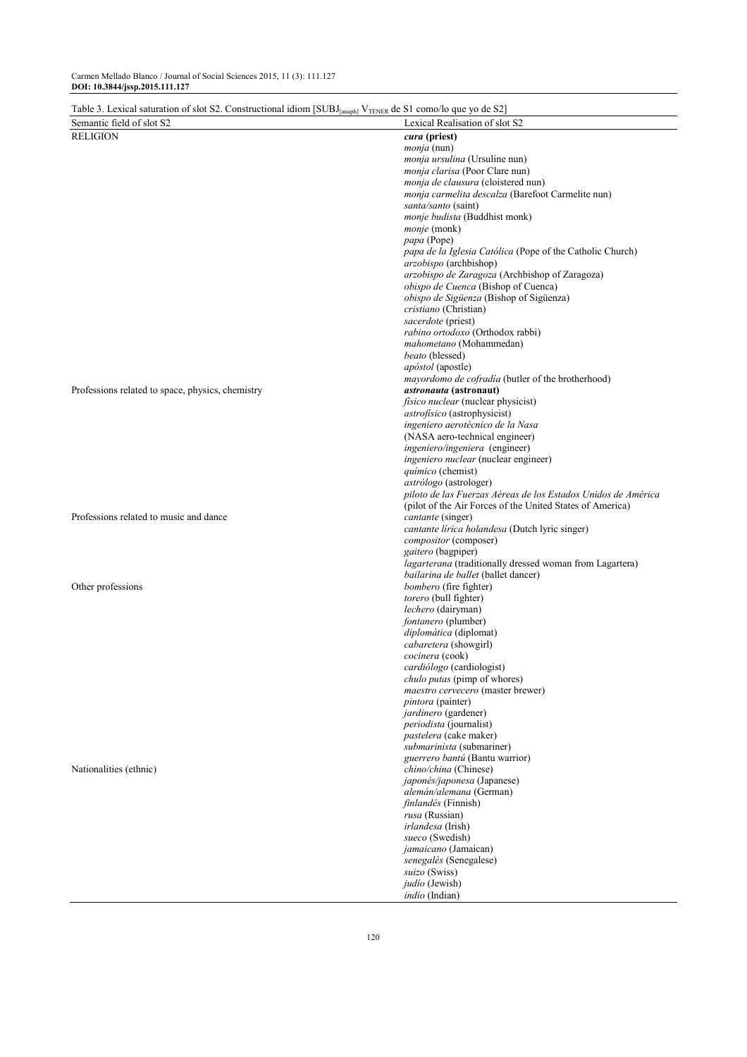| Table 3. Lexical saturation of slot S2. Constructional idiom [SUBJ <sub>[anaph]</sub> $V_{\text{TENE}}$ de S1 como/lo que yo de S2] |                                                                                     |
|-------------------------------------------------------------------------------------------------------------------------------------|-------------------------------------------------------------------------------------|
| Semantic field of slot S2                                                                                                           | Lexical Realisation of slot S2                                                      |
| <b>RELIGION</b>                                                                                                                     | cura (priest)                                                                       |
|                                                                                                                                     | <i>monja</i> (nun)                                                                  |
|                                                                                                                                     | monja ursulina (Ursuline nun)                                                       |
|                                                                                                                                     | monja clarisa (Poor Clare nun)                                                      |
|                                                                                                                                     | monja de clausura (cloistered nun)                                                  |
|                                                                                                                                     | monja carmelita descalza (Barefoot Carmelite nun)                                   |
|                                                                                                                                     | santa/santo (saint)                                                                 |
|                                                                                                                                     | monje budista (Buddhist monk)                                                       |
|                                                                                                                                     | <i>monje</i> (monk)                                                                 |
|                                                                                                                                     | papa (Pope)                                                                         |
|                                                                                                                                     | papa de la Iglesia Católica (Pope of the Catholic Church)<br>arzobispo (archbishop) |
|                                                                                                                                     | arzobispo de Zaragoza (Archbishop of Zaragoza)                                      |
|                                                                                                                                     | obispo de Cuenca (Bishop of Cuenca)                                                 |
|                                                                                                                                     | obispo de Sigüenza (Bishop of Sigüenza)                                             |
|                                                                                                                                     | cristiano (Christian)                                                               |
|                                                                                                                                     | sacerdote (priest)                                                                  |
|                                                                                                                                     | rabino ortodoxo (Orthodox rabbi)                                                    |
|                                                                                                                                     | mahometano (Mohammedan)                                                             |
|                                                                                                                                     | beato (blessed)                                                                     |
|                                                                                                                                     | <i>apóstol</i> (apostle)                                                            |
|                                                                                                                                     | mayordomo de cofradía (butler of the brotherhood)                                   |
| Professions related to space, physics, chemistry                                                                                    | <i>astronauta</i> (astronaut)                                                       |
|                                                                                                                                     | <i>fisico nuclear</i> (nuclear physicist)                                           |
|                                                                                                                                     | <i>astrofísico</i> (astrophysicist)                                                 |
|                                                                                                                                     | ingeniero aerotécnico de la Nasa                                                    |
|                                                                                                                                     | (NASA aero-technical engineer)                                                      |
|                                                                                                                                     | ingeniero/ingeniera (engineer)                                                      |
|                                                                                                                                     | <i>ingeniero nuclear</i> (nuclear engineer)                                         |
|                                                                                                                                     | químico (chemist)                                                                   |
|                                                                                                                                     | astrólogo (astrologer)                                                              |
|                                                                                                                                     | piloto de las Fuerzas Aéreas de los Estados Unidos de América                       |
|                                                                                                                                     | (pilot of the Air Forces of the United States of America)                           |
| Professions related to music and dance                                                                                              | cantante (singer)                                                                   |
|                                                                                                                                     | cantante lírica holandesa (Dutch lyric singer)                                      |
|                                                                                                                                     | compositor (composer)                                                               |
|                                                                                                                                     | gaitero (bagpiper)<br>lagarterana (traditionally dressed woman from Lagartera)      |
|                                                                                                                                     | bailarina de ballet (ballet dancer)                                                 |
| Other professions                                                                                                                   | bombero (fire fighter)                                                              |
|                                                                                                                                     | torero (bull fighter)                                                               |
|                                                                                                                                     | lechero (dairyman)                                                                  |
|                                                                                                                                     | fontanero (plumber)                                                                 |
|                                                                                                                                     | diplomática (diplomat)                                                              |
|                                                                                                                                     | cabaretera (showgirl)                                                               |
|                                                                                                                                     | <i>cocinera</i> (cook)                                                              |
|                                                                                                                                     | cardiólogo (cardiologist)                                                           |
|                                                                                                                                     | chulo putas (pimp of whores)                                                        |
|                                                                                                                                     | maestro cervecero (master brewer)                                                   |
|                                                                                                                                     | <i>pintora</i> (painter)                                                            |
|                                                                                                                                     | <i>jardinero</i> (gardener)                                                         |
|                                                                                                                                     | periodista (journalist)                                                             |
|                                                                                                                                     | pastelera (cake maker)                                                              |
|                                                                                                                                     | submarinista (submariner)<br>guerrero bantú (Bantu warrior)                         |
| Nationalities (ethnic)                                                                                                              | <i>chino/china</i> (Chinese)                                                        |
|                                                                                                                                     | japonés/japonesa (Japanese)                                                         |
|                                                                                                                                     | alemán/alemana (German)                                                             |
|                                                                                                                                     | finlandés (Finnish)                                                                 |
|                                                                                                                                     | <i>rusa</i> (Russian)                                                               |
|                                                                                                                                     | irlandesa (Irish)                                                                   |
|                                                                                                                                     | sueco (Swedish)                                                                     |
|                                                                                                                                     | jamaicano (Jamaican)                                                                |
|                                                                                                                                     | senegalés (Senegalese)                                                              |
|                                                                                                                                     | suizo (Swiss)                                                                       |
|                                                                                                                                     | judío (Jewish)                                                                      |
|                                                                                                                                     | <i>indio</i> (Indian)                                                               |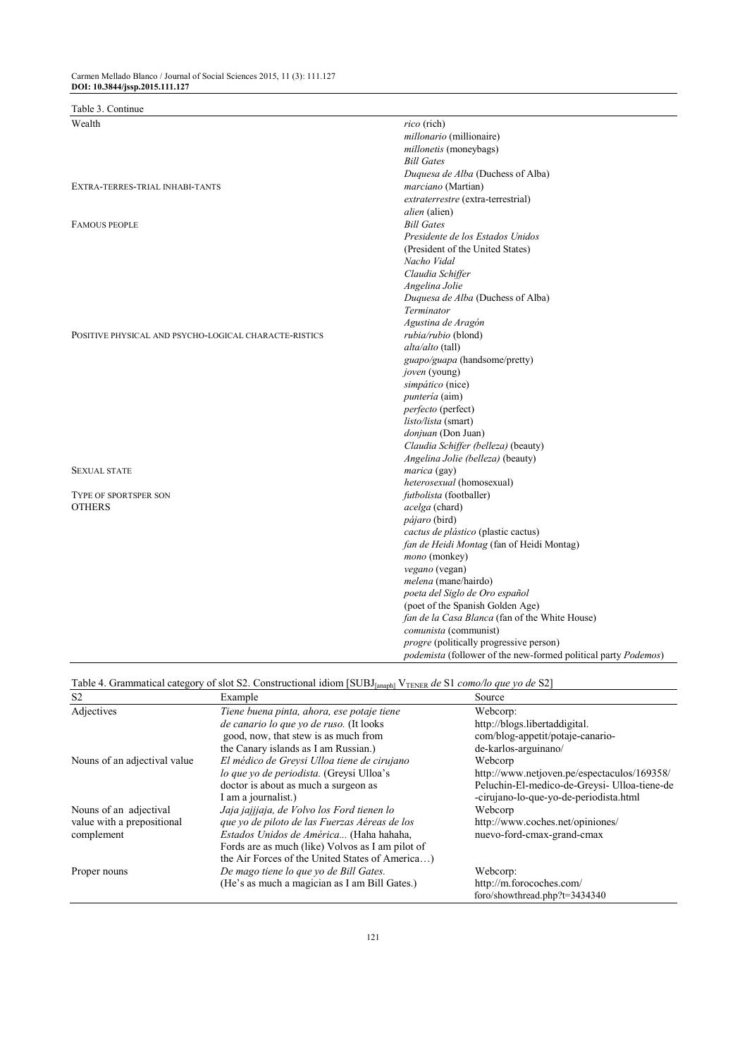# Table 3. Continue

| Wealth                                                | rico (rich)                                                    |
|-------------------------------------------------------|----------------------------------------------------------------|
|                                                       | millonario (millionaire)                                       |
|                                                       | millonetis (moneybags)                                         |
|                                                       | <b>Bill Gates</b>                                              |
|                                                       | Duquesa de Alba (Duchess of Alba)                              |
| EXTRA-TERRES-TRIAL INHABI-TANTS                       | marciano (Martian)                                             |
|                                                       | extraterrestre (extra-terrestrial)                             |
|                                                       | <i>alien</i> (alien)                                           |
| <b>FAMOUS PEOPLE</b>                                  | <b>Bill Gates</b>                                              |
|                                                       | Presidente de los Estados Unidos                               |
|                                                       | (President of the United States)                               |
|                                                       | Nacho Vidal                                                    |
|                                                       | Claudia Schiffer                                               |
|                                                       | Angelina Jolie                                                 |
|                                                       | Duquesa de Alba (Duchess of Alba)                              |
|                                                       | Terminator                                                     |
|                                                       | Agustina de Aragón                                             |
| POSITIVE PHYSICAL AND PSYCHO-LOGICAL CHARACTE-RISTICS | rubia/rubio (blond)                                            |
|                                                       | alta/alto (tall)                                               |
|                                                       | guapo/guapa (handsome/pretty)                                  |
|                                                       |                                                                |
|                                                       | joven (young)<br>simpático (nice)                              |
|                                                       |                                                                |
|                                                       | <i>puntería</i> (aim)                                          |
|                                                       | perfecto (perfect)                                             |
|                                                       | listo/lista (smart)                                            |
|                                                       | donjuan (Don Juan)                                             |
|                                                       | Claudia Schiffer (belleza) (beauty)                            |
|                                                       | Angelina Jolie (belleza) (beauty)                              |
| <b>SEXUAL STATE</b>                                   | marica (gay)                                                   |
|                                                       | heterosexual (homosexual)                                      |
| <b>TYPE OF SPORTSPER SON</b>                          | futbolista (footballer)                                        |
| <b>OTHERS</b>                                         | acelga (chard)                                                 |
|                                                       | <i>pájaro</i> (bird)                                           |
|                                                       | cactus de plástico (plastic cactus)                            |
|                                                       | fan de Heidi Montag (fan of Heidi Montag)                      |
|                                                       | mono (monkey)                                                  |
|                                                       | vegano (vegan)                                                 |
|                                                       | <i>melena</i> (mane/hairdo)                                    |
|                                                       | poeta del Siglo de Oro español                                 |
|                                                       | (poet of the Spanish Golden Age)                               |
|                                                       | fan de la Casa Blanca (fan of the White House)                 |
|                                                       | comunista (communist)                                          |
|                                                       | progre (politically progressive person)                        |
|                                                       | podemista (follower of the new-formed political party Podemos) |

## Table 4. Grammatical category of slot S2. Constructional idiom [SUBJ<sub>[anaph]</sub> V<sub>TENER</sub> de S1 *como/lo que yo de* S2]

| S <sub>2</sub>               | Example                                          | Source                                       |
|------------------------------|--------------------------------------------------|----------------------------------------------|
| Adjectives                   | Tiene buena pinta, ahora, ese potaje tiene       | Webcorp:                                     |
|                              | de canario lo que vo de ruso. (It looks          | http://blogs.libertaddigital.                |
|                              | good, now, that stew is as much from             | com/blog-appetit/potaje-canario-             |
|                              | the Canary islands as I am Russian.)             | de-karlos-arguinano/                         |
| Nouns of an adjectival value | El médico de Grevsi Ulloa tiene de cirujano      | Webcorp                                      |
|                              | lo que yo de periodista. (Greysi Ulloa's         | http://www.netjoven.pe/espectaculos/169358/  |
|                              | doctor is about as much a surgeon as             | Peluchin-El-medico-de-Greysi- Ulloa-tiene-de |
|                              | I am a journalist.)                              | -cirujano-lo-que-yo-de-periodista.html       |
| Nouns of an adjectival       | Jaja jajjjaja, de Volvo los Ford tienen lo       | Webcorp                                      |
| value with a prepositional   | que yo de piloto de las Fuerzas Aéreas de los    | http://www.coches.net/opiniones/             |
| complement                   | Estados Unidos de América (Haha hahaha,          | nuevo-ford-cmax-grand-cmax                   |
|                              | Fords are as much (like) Volvos as I am pilot of |                                              |
|                              | the Air Forces of the United States of America)  |                                              |
| Proper nouns                 | De mago tiene lo que yo de Bill Gates.           | Webcorp:                                     |
|                              | (He's as much a magician as I am Bill Gates.)    | http://m.forocoches.com/                     |
|                              |                                                  | foro/showthread.php?t=3434340                |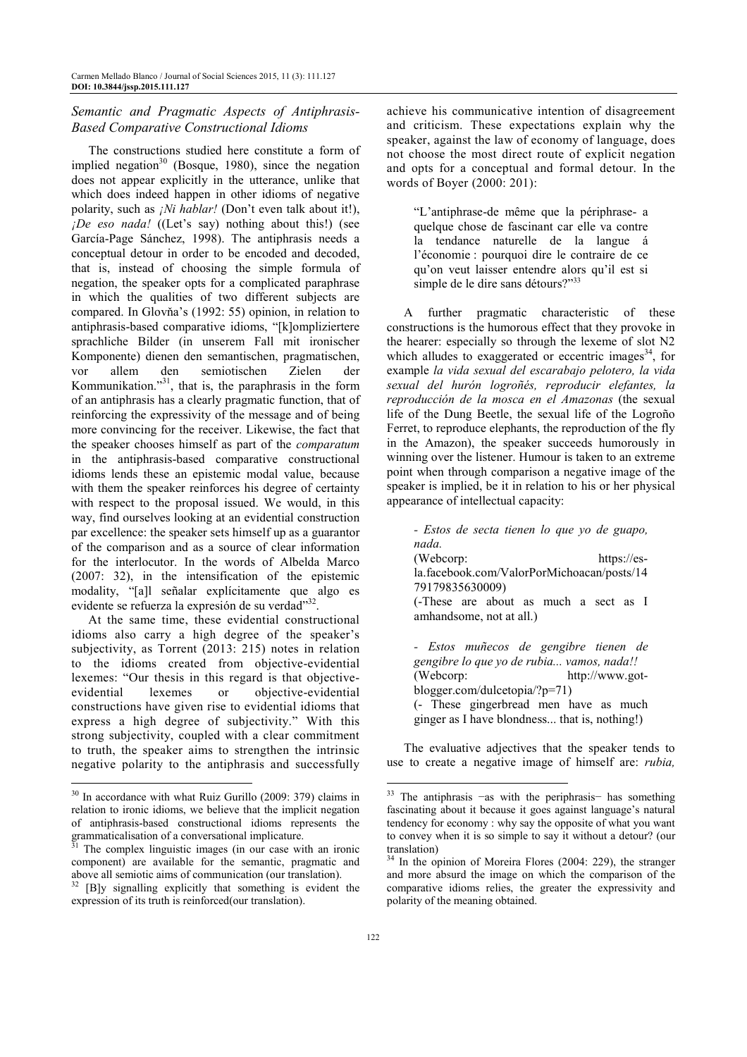#### *Semantic and Pragmatic Aspects of Antiphrasis-Based Comparative Constructional Idioms*

The constructions studied here constitute a form of implied negation<sup>30</sup> (Bosque, 1980), since the negation does not appear explicitly in the utterance, unlike that which does indeed happen in other idioms of negative polarity, such as *¡Ni hablar!* (Don't even talk about it!), *¡De eso nada!* ((Let's say) nothing about this!) (see García-Page Sánchez, 1998). The antiphrasis needs a conceptual detour in order to be encoded and decoded, that is, instead of choosing the simple formula of negation, the speaker opts for a complicated paraphrase in which the qualities of two different subjects are compared. In Glovňa's (1992: 55) opinion, in relation to antiphrasis-based comparative idioms, "[k]ompliziertere sprachliche Bilder (in unserem Fall mit ironischer Komponente) dienen den semantischen, pragmatischen, vor allem den semiotischen Zielen der Kommunikation."<sup>31</sup>, that is, the paraphrasis in the form of an antiphrasis has a clearly pragmatic function, that of reinforcing the expressivity of the message and of being more convincing for the receiver. Likewise, the fact that the speaker chooses himself as part of the *comparatum* in the antiphrasis-based comparative constructional idioms lends these an epistemic modal value, because with them the speaker reinforces his degree of certainty with respect to the proposal issued. We would, in this way, find ourselves looking at an evidential construction par excellence: the speaker sets himself up as a guarantor of the comparison and as a source of clear information for the interlocutor. In the words of Albelda Marco (2007: 32), in the intensification of the epistemic modality, "[a]l señalar explícitamente que algo es evidente se refuerza la expresión de su verdad"32 .

At the same time, these evidential constructional idioms also carry a high degree of the speaker's subjectivity, as Torrent (2013: 215) notes in relation to the idioms created from objective-evidential lexemes: "Our thesis in this regard is that objectiveevidential lexemes or objective-evidential constructions have given rise to evidential idioms that express a high degree of subjectivity." With this strong subjectivity, coupled with a clear commitment to truth, the speaker aims to strengthen the intrinsic negative polarity to the antiphrasis and successfully

 $\overline{a}$ 

achieve his communicative intention of disagreement and criticism. These expectations explain why the speaker, against the law of economy of language, does not choose the most direct route of explicit negation and opts for a conceptual and formal detour. In the words of Boyer (2000: 201):

"L'antiphrase-de même que la périphrase- a quelque chose de fascinant car elle va contre la tendance naturelle de la langue á l'économie : pourquoi dire le contraire de ce qu'on veut laisser entendre alors qu'il est si simple de le dire sans détours?"<sup>33</sup>

A further pragmatic characteristic of these constructions is the humorous effect that they provoke in the hearer: especially so through the lexeme of slot N2 which alludes to exaggerated or eccentric images<sup>34</sup>, for example *la vida sexual del escarabajo pelotero, la vida sexual del hurón logroñés, reproducir elefantes, la reproducción de la mosca en el Amazonas* (the sexual life of the Dung Beetle, the sexual life of the Logroño Ferret, to reproduce elephants, the reproduction of the fly in the Amazon), the speaker succeeds humorously in winning over the listener. Humour is taken to an extreme point when through comparison a negative image of the speaker is implied, be it in relation to his or her physical appearance of intellectual capacity:

*- Estos de secta tienen lo que yo de guapo, nada.*  (Webcorp: https://esla.facebook.com/ValorPorMichoacan/posts/14 79179835630009) (-These are about as much a sect as I amhandsome, not at all.)

*- Estos muñecos de gengibre tienen de gengibre lo que yo de rubia... vamos, nada!!*  (Webcorp: http://www.gotblogger.com/dulcetopia/?p=71) (- These gingerbread men have as much ginger as I have blondness... that is, nothing!)

The evaluative adjectives that the speaker tends to use to create a negative image of himself are: *rubia,* 

<sup>&</sup>lt;sup>30</sup> In accordance with what Ruiz Gurillo (2009: 379) claims in relation to ironic idioms, we believe that the implicit negation of antiphrasis-based constructional idioms represents the grammaticalisation of a conversational implicature.

 $31$  The complex linguistic images (in our case with an ironic component) are available for the semantic, pragmatic and above all semiotic aims of communication (our translation).

<sup>32</sup> [B]y signalling explicitly that something is evident the expression of its truth is reinforced(our translation).

<sup>&</sup>lt;sup>33</sup> The antiphrasis −as with the periphrasis− has something fascinating about it because it goes against language's natural tendency for economy : why say the opposite of what you want to convey when it is so simple to say it without a detour? (our translation)

<sup>&</sup>lt;sup>34</sup> In the opinion of Moreira Flores (2004: 229), the stranger and more absurd the image on which the comparison of the comparative idioms relies, the greater the expressivity and polarity of the meaning obtained.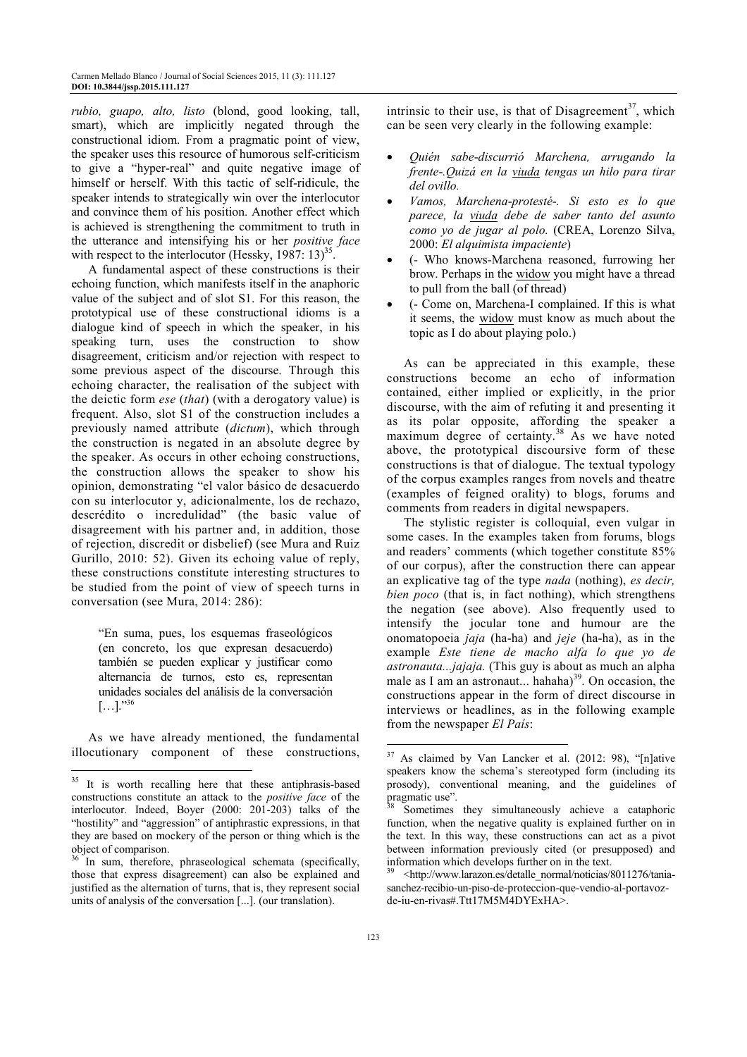*rubio, guapo, alto, listo* (blond, good looking, tall, smart), which are implicitly negated through the constructional idiom. From a pragmatic point of view, the speaker uses this resource of humorous self-criticism to give a "hyper-real" and quite negative image of himself or herself. With this tactic of self-ridicule, the speaker intends to strategically win over the interlocutor and convince them of his position. Another effect which is achieved is strengthening the commitment to truth in the utterance and intensifying his or her *positive face* with respect to the interlocutor (Hessky,  $1987: 13$ )<sup>35</sup>.

A fundamental aspect of these constructions is their echoing function, which manifests itself in the anaphoric value of the subject and of slot S1. For this reason, the prototypical use of these constructional idioms is a dialogue kind of speech in which the speaker, in his speaking turn, uses the construction to show disagreement, criticism and/or rejection with respect to some previous aspect of the discourse. Through this echoing character, the realisation of the subject with the deictic form *ese* (*that*) (with a derogatory value) is frequent. Also, slot S1 of the construction includes a previously named attribute (*dictum*), which through the construction is negated in an absolute degree by the speaker. As occurs in other echoing constructions, the construction allows the speaker to show his opinion, demonstrating "el valor básico de desacuerdo con su interlocutor y, adicionalmente, los de rechazo, descrédito o incredulidad" (the basic value of disagreement with his partner and, in addition, those of rejection, discredit or disbelief) (see Mura and Ruiz Gurillo, 2010: 52). Given its echoing value of reply, these constructions constitute interesting structures to be studied from the point of view of speech turns in conversation (see Mura, 2014: 286):

"En suma, pues, los esquemas fraseológicos (en concreto, los que expresan desacuerdo) también se pueden explicar y justificar como alternancia de turnos, esto es, representan unidades sociales del análisis de la conversación  $[...]$ ."<sup>36</sup>

As we have already mentioned, the fundamental illocutionary component of these constructions,

 $\overline{a}$ 

intrinsic to their use, is that of Disagreement<sup>37</sup>, which can be seen very clearly in the following example:

- *Quién sabe*-*discurrió Marchena, arrugando la frente*-*.Quizá en la viuda tengas un hilo para tirar del ovillo.*
- *Vamos, Marchena*-*protesté*-*. Si esto es lo que parece, la viuda debe de saber tanto del asunto como yo de jugar al polo.* (CREA, Lorenzo Silva, 2000: *El alquimista impaciente*)
- (- Who knows-Marchena reasoned, furrowing her brow. Perhaps in the widow you might have a thread to pull from the ball (of thread)
- (- Come on, Marchena-I complained. If this is what it seems, the widow must know as much about the topic as I do about playing polo.)

As can be appreciated in this example, these constructions become an echo of information contained, either implied or explicitly, in the prior discourse, with the aim of refuting it and presenting it as its polar opposite, affording the speaker a maximum degree of certainty.<sup>38</sup> As we have noted above, the prototypical discoursive form of these constructions is that of dialogue. The textual typology of the corpus examples ranges from novels and theatre (examples of feigned orality) to blogs, forums and comments from readers in digital newspapers.

The stylistic register is colloquial, even vulgar in some cases. In the examples taken from forums, blogs and readers' comments (which together constitute 85% of our corpus), after the construction there can appear an explicative tag of the type *nada* (nothing), *es decir, bien poco* (that is, in fact nothing), which strengthens the negation (see above). Also frequently used to intensify the jocular tone and humour are the onomatopoeia *jaja* (ha-ha) and *jeje* (ha-ha), as in the example *Este tiene de macho alfa lo que yo de astronauta...jajaja.* (This guy is about as much an alpha male as I am an astronaut... hahaha $3^{39}$ . On occasion, the constructions appear in the form of direct discourse in interviews or headlines, as in the following example from the newspaper *El País*:

<sup>&</sup>lt;sup>35</sup> It is worth recalling here that these antiphrasis-based constructions constitute an attack to the *positive face* of the interlocutor. Indeed, Boyer (2000: 201-203) talks of the "hostility" and "aggression" of antiphrastic expressions, in that they are based on mockery of the person or thing which is the object of comparison.

<sup>&</sup>lt;sup>36</sup> In sum, therefore, phraseological schemata (specifically, those that express disagreement) can also be explained and justified as the alternation of turns, that is, they represent social units of analysis of the conversation [...]. (our translation).

 $37$  As claimed by Van Lancker et al. (2012: 98), "[n]ative speakers know the schema's stereotyped form (including its prosody), conventional meaning, and the guidelines of pragmatic use".

Sometimes they simultaneously achieve a cataphoric function, when the negative quality is explained further on in the text. In this way, these constructions can act as a pivot between information previously cited (or presupposed) and information which develops further on in the text.

<sup>39</sup> <http://www.larazon.es/detalle\_normal/noticias/8011276/taniasanchez-recibio-un-piso-de-proteccion-que-vendio-al-portavozde-iu-en-rivas#.Ttt17M5M4DYExHA>.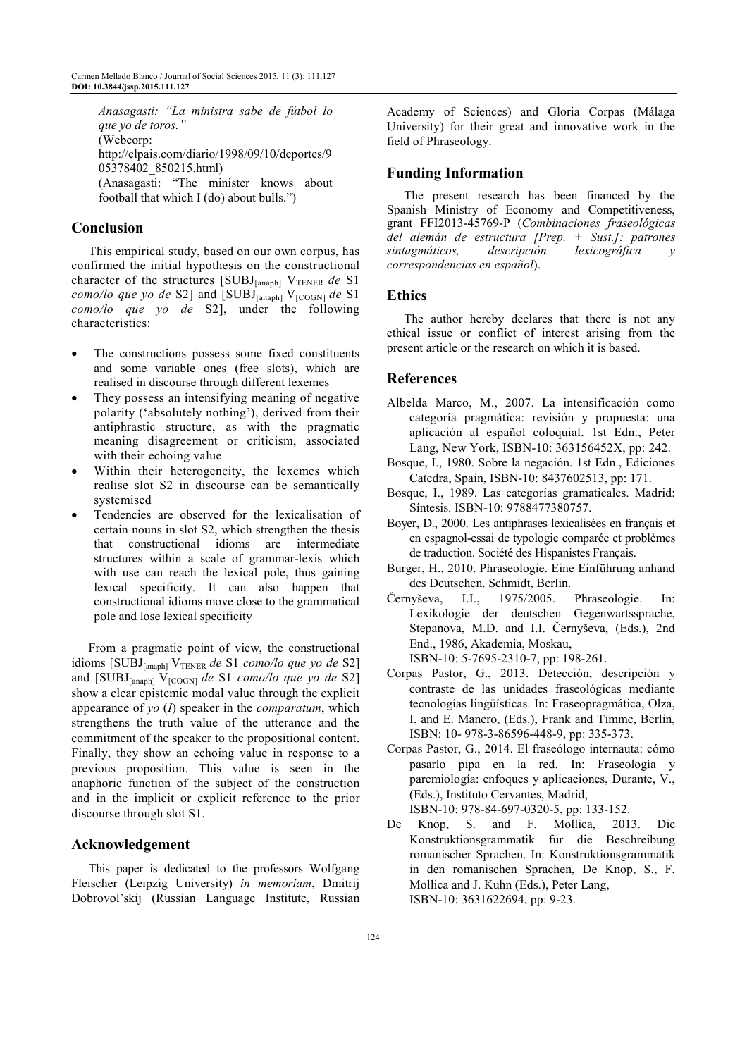*Anasagasti: "La ministra sabe de fútbol lo que yo de toros."*  (Webcorp: http://elpais.com/diario/1998/09/10/deportes/9 05378402\_850215.html) (Anasagasti: "The minister knows about football that which I (do) about bulls.")

# **Conclusion**

This empirical study, based on our own corpus, has confirmed the initial hypothesis on the constructional character of the structures [SUBJ<sub>[anaph]</sub> V<sub>TENER</sub> de S1 *como/lo que yo de* S2] and  $[SUBJ_{[anaph]} V_{[COGN]}$  *de* S1 *como/lo que yo de* S2], under the following characteristics:

- The constructions possess some fixed constituents and some variable ones (free slots), which are realised in discourse through different lexemes
- They possess an intensifying meaning of negative polarity ('absolutely nothing'), derived from their antiphrastic structure, as with the pragmatic meaning disagreement or criticism, associated with their echoing value
- Within their heterogeneity, the lexemes which realise slot S2 in discourse can be semantically systemised
- Tendencies are observed for the lexicalisation of certain nouns in slot S2, which strengthen the thesis that constructional idioms are intermediate structures within a scale of grammar-lexis which with use can reach the lexical pole, thus gaining lexical specificity. It can also happen that constructional idioms move close to the grammatical pole and lose lexical specificity

From a pragmatic point of view, the constructional idioms [SUBJ<sub>[anaph]</sub> V<sub>TENER</sub> de S1 *como/lo que yo de* S2] and [SUBJ<sub>[anaph]</sub> V<sub>[COGN]</sub> *de* S1 *como/lo que yo de* S2] show a clear epistemic modal value through the explicit appearance of *yo* (*I*) speaker in the *comparatum*, which strengthens the truth value of the utterance and the commitment of the speaker to the propositional content. Finally, they show an echoing value in response to a previous proposition. This value is seen in the anaphoric function of the subject of the construction and in the implicit or explicit reference to the prior discourse through slot S1.

#### **Acknowledgement**

This paper is dedicated to the professors Wolfgang Fleischer (Leipzig University) *in memoriam*, Dmitrij Dobrovol'skij (Russian Language Institute, Russian Academy of Sciences) and Gloria Corpas (Málaga University) for their great and innovative work in the field of Phraseology.

#### **Funding Information**

The present research has been financed by the Spanish Ministry of Economy and Competitiveness, grant FFI2013-45769-P (*Combinaciones fraseológicas del alemán de estructura [Prep. + Sust.]: patrones sintagmáticos, descripción lexicográfica y correspondencias en español*).

#### **Ethics**

The author hereby declares that there is not any ethical issue or conflict of interest arising from the present article or the research on which it is based.

#### **References**

- Albelda Marco, M., 2007. La intensificación como categoría pragmática: revisión y propuesta: una aplicación al español coloquial. 1st Edn., Peter Lang, New York, ISBN-10: 363156452X, pp: 242.
- Bosque, I., 1980. Sobre la negación. 1st Edn., Ediciones Catedra, Spain, ISBN-10: 8437602513, pp: 171.
- Bosque, I., 1989. Las categorías gramaticales. Madrid: Síntesis. ISBN-10: 9788477380757.
- Boyer, D., 2000. Les antiphrases lexicalisées en français et en espagnol-essai de typologie comparée et problèmes de traduction. Société des Hispanistes Français.
- Burger, H., 2010. Phraseologie. Eine Einführung anhand des Deutschen. Schmidt, Berlin.
- Černyševa, I.I., 1975/2005. Phraseologie. In: Lexikologie der deutschen Gegenwartssprache, Stepanova, M.D. and I.I. Černyševa, (Eds.), 2nd End., 1986, Akademia, Moskau, ISBN-10: 5-7695-2310-7, pp: 198-261.
- Corpas Pastor, G., 2013. Detección, descripción y contraste de las unidades fraseológicas mediante tecnologías lingüísticas. In: Fraseopragmática, Olza, I. and E. Manero, (Eds.), Frank and Timme, Berlin, ISBN: 10- 978-3-86596-448-9, pp: 335-373.
- Corpas Pastor, G., 2014. El fraseólogo internauta: cómo pasarlo pipa en la red. In: Fraseología y paremiología: enfoques y aplicaciones, Durante, V., (Eds.), Instituto Cervantes, Madrid, ISBN-10: 978-84-697-0320-5, pp: 133-152.
- De Knop, S. and F. Mollica, 2013. Die Konstruktionsgrammatik für die Beschreibung romanischer Sprachen. In: Konstruktionsgrammatik in den romanischen Sprachen, De Knop, S., F. Mollica and J. Kuhn (Eds.), Peter Lang, ISBN-10: 3631622694, pp: 9-23.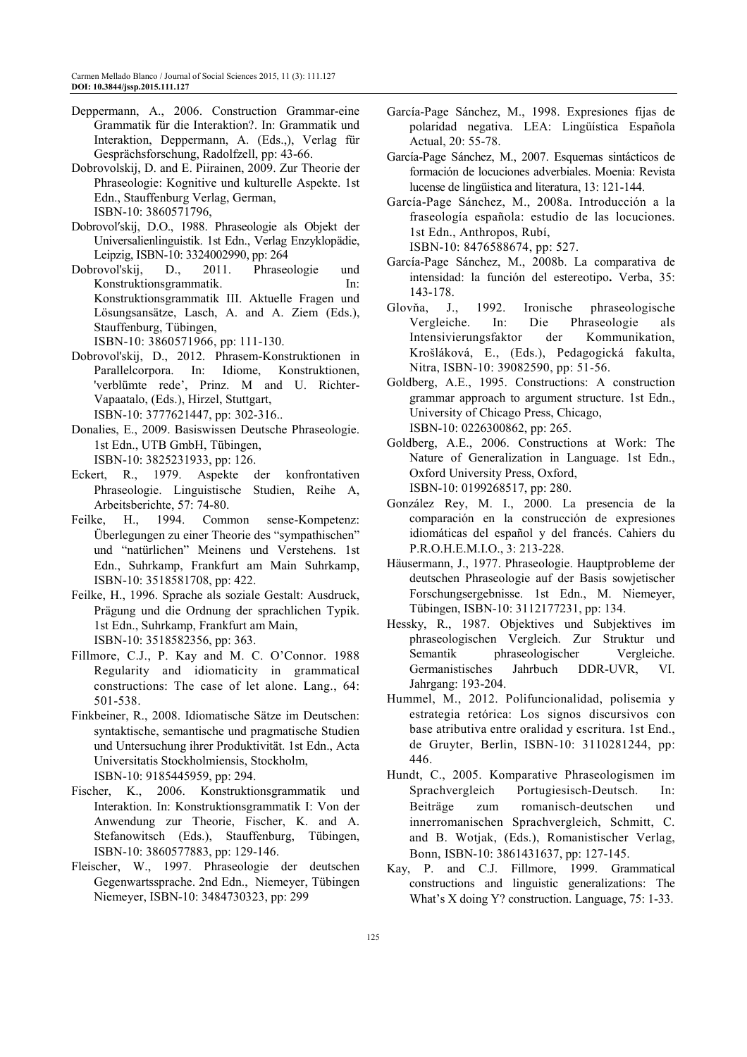- Deppermann, A., 2006. Construction Grammar-eine Grammatik für die Interaktion?. In: Grammatik und Interaktion, Deppermann, A. (Eds.,), Verlag für Gesprächsforschung, Radolfzell, pp: 43-66.
- Dobrovolskij, D. and E. Piirainen, 2009. Zur Theorie der Phraseologie: Kognitive und kulturelle Aspekte. 1st Edn., Stauffenburg Verlag, German, ISBN-10: 3860571796,
- Dobrovolʹskij, D.O., 1988. Phraseologie als Objekt der Universalienlinguistik. 1st Edn., Verlag Enzyklopädie, Leipzig, ISBN-10: 3324002990, pp: 264
- Dobrovol'skij, D., 2011. Phraseologie und Konstruktionsgrammatik. In: Konstruktionsgrammatik III. Aktuelle Fragen und Lösungsansätze, Lasch, A. and A. Ziem (Eds.), Stauffenburg, Tübingen, ISBN-10: 3860571966, pp: 111-130.
- Dobrovol'skij, D., 2012. Phrasem-Konstruktionen in Parallelcorpora. In: Idiome, Konstruktionen, 'verblümte rede', Prinz. M and U. Richter-Vapaatalo, (Eds.), Hirzel, Stuttgart, ISBN-10: 3777621447, pp: 302-316..
- Donalies, E., 2009. Basiswissen Deutsche Phraseologie. 1st Edn., UTB GmbH, Tübingen, ISBN-10: 3825231933, pp: 126.
- Eckert, R., 1979. Aspekte der konfrontativen Phraseologie. Linguistische Studien, Reihe A, Arbeitsberichte, 57: 74-80.
- Feilke, H., 1994. Common sense-Kompetenz: Überlegungen zu einer Theorie des "sympathischen" und "natürlichen" Meinens und Verstehens. 1st Edn., Suhrkamp, Frankfurt am Main Suhrkamp, ISBN-10: 3518581708, pp: 422.
- Feilke, H., 1996. Sprache als soziale Gestalt: Ausdruck, Prägung und die Ordnung der sprachlichen Typik. 1st Edn., Suhrkamp, Frankfurt am Main, ISBN-10: 3518582356, pp: 363.
- Fillmore, C.J., P. Kay and M. C. O'Connor. 1988 Regularity and idiomaticity in grammatical constructions: The case of let alone. Lang., 64: 501-538.
- Finkbeiner, R., 2008. Idiomatische Sätze im Deutschen: syntaktische, semantische und pragmatische Studien und Untersuchung ihrer Produktivität. 1st Edn., Acta Universitatis Stockholmiensis, Stockholm, ISBN-10: 9185445959, pp: 294.
- Fischer, K., 2006. Konstruktionsgrammatik und Interaktion. In: Konstruktionsgrammatik I: Von der Anwendung zur Theorie, Fischer, K. and A. Stefanowitsch (Eds.), Stauffenburg, Tübingen, ISBN-10: 3860577883, pp: 129-146.
- Fleischer, W., 1997. Phraseologie der deutschen Gegenwartssprache. 2nd Edn., Niemeyer, Tübingen Niemeyer, ISBN-10: 3484730323, pp: 299
- García-Page Sánchez, M., 1998. Expresiones fijas de polaridad negativa. LEA: Lingüística Española Actual, 20: 55-78.
- García-Page Sánchez, M., 2007. Esquemas sintácticos de formación de locuciones adverbiales. Moenia: Revista lucense de lingüistica and literatura, 13: 121-144.
- García-Page Sánchez, M., 2008a. Introducción a la fraseología española: estudio de las locuciones. 1st Edn., Anthropos, Rubí, ISBN-10: 8476588674, pp: 527.
- García-Page Sánchez, M., 2008b. La comparativa de intensidad: la función del estereotipo**.** Verba, 35:
- 143-178. Glovňa, J., 1992. Ironische phraseologische Vergleiche. In: Die Phraseologie als Intensivierungsfaktor der Kommunikation, Krošláková, E., (Eds.), Pedagogická fakulta, Nitra, ISBN-10: 39082590, pp: 51-56.
- Goldberg, A.E., 1995. Constructions: A construction grammar approach to argument structure. 1st Edn., University of Chicago Press, Chicago, ISBN-10: 0226300862, pp: 265.
- Goldberg, A.E., 2006. Constructions at Work: The Nature of Generalization in Language. 1st Edn., Oxford University Press, Oxford, ISBN-10: 0199268517, pp: 280.
- González Rey, M. I., 2000. La presencia de la comparación en la construcción de expresiones idiomáticas del español y del francés. Cahiers du P.R.O.H.E.M.I.O., 3: 213-228.
- Häusermann, J., 1977. Phraseologie. Hauptprobleme der deutschen Phraseologie auf der Basis sowjetischer Forschungsergebnisse. 1st Edn., M. Niemeyer, Tübingen, ISBN-10: 3112177231, pp: 134.
- Hessky, R., 1987. Objektives und Subjektives im phraseologischen Vergleich. Zur Struktur und Semantik phraseologischer Vergleiche. Germanistisches Jahrbuch DDR-UVR, VI. Jahrgang: 193-204.
- Hummel, M., 2012. Polifuncionalidad, polisemia y estrategia retórica: Los signos discursivos con base atributiva entre oralidad y escritura. 1st End., de Gruyter, Berlin, ISBN-10: 3110281244, pp: 446.
- Hundt, C., 2005. Komparative Phraseologismen im Sprachvergleich Portugiesisch-Deutsch. In: Beiträge zum romanisch-deutschen und innerromanischen Sprachvergleich, Schmitt, C. and B. Wotjak, (Eds.), Romanistischer Verlag, Bonn, ISBN-10: 3861431637, pp: 127-145.
- Kay, P. and C.J. Fillmore, 1999. Grammatical constructions and linguistic generalizations: The What's X doing Y? construction. Language, 75: 1-33.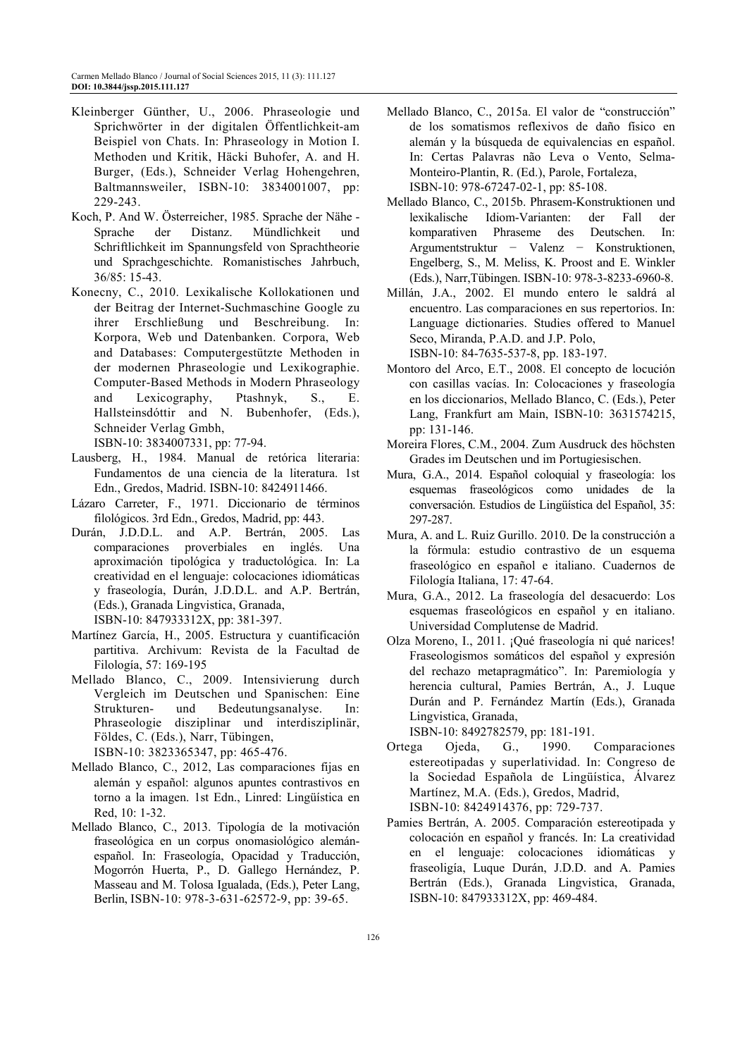- Kleinberger Günther, U., 2006. Phraseologie und Sprichwörter in der digitalen Öffentlichkeit-am Beispiel von Chats. In: Phraseology in Motion I. Methoden und Kritik, Häcki Buhofer, A. and H. Burger, (Eds.), Schneider Verlag Hohengehren, Baltmannsweiler, ISBN-10: 3834001007, pp: 229-243.
- Koch, P. And W. Österreicher, 1985. Sprache der Nähe Sprache der Distanz. Mündlichkeit und Schriftlichkeit im Spannungsfeld von Sprachtheorie und Sprachgeschichte. Romanistisches Jahrbuch, 36/85: 15-43.
- Konecny, C., 2010. Lexikalische Kollokationen und der Beitrag der Internet-Suchmaschine Google zu ihrer Erschließung und Beschreibung. In: Korpora, Web und Datenbanken. Corpora, Web and Databases: Computergestützte Methoden in der modernen Phraseologie und Lexikographie. Computer-Based Methods in Modern Phraseology and Lexicography, Ptashnyk, S., E. Hallsteinsdóttir and N. Bubenhofer, (Eds.), Schneider Verlag Gmbh,

ISBN-10: 3834007331, pp: 77-94.

- Lausberg, H., 1984. Manual de retórica literaria: Fundamentos de una ciencia de la literatura. 1st Edn., Gredos, Madrid. ISBN-10: 8424911466.
- Lázaro Carreter, F., 1971. Diccionario de términos filológicos. 3rd Edn., Gredos, Madrid, pp: 443.
- Durán, J.D.D.L. and A.P. Bertrán, 2005. Las comparaciones proverbiales en inglés. Una aproximación tipológica y traductológica. In: La creatividad en el lenguaje: colocaciones idiomáticas y fraseología, Durán, J.D.D.L. and A.P. Bertrán, (Eds.), Granada Lingvistica, Granada, ISBN-10: 847933312X, pp: 381-397.
- Martínez García, H., 2005. Estructura y cuantificación partitiva. Archivum: Revista de la Facultad de Filología, 57: 169-195
- Mellado Blanco, C., 2009. Intensivierung durch Vergleich im Deutschen und Spanischen: Eine Strukturen- und Bedeutungsanalyse. In: Phraseologie disziplinar und interdisziplinär, Földes, C. (Eds.), Narr, Tübingen, ISBN-10: 3823365347, pp: 465-476.
- Mellado Blanco, C., 2012, Las comparaciones fijas en alemán y español: algunos apuntes contrastivos en torno a la imagen. 1st Edn., Linred: Lingüística en Red, 10: 1-32.
- Mellado Blanco, C., 2013. Tipología de la motivación fraseológica en un corpus onomasiológico alemánespañol. In: Fraseología, Opacidad y Traducción, Mogorrón Huerta, P., D. Gallego Hernández, P. Masseau and M. Tolosa Igualada, (Eds.), Peter Lang, Berlin, ISBN-10: 978-3-631-62572-9, pp: 39-65.
- Mellado Blanco, C., 2015a. El valor de "construcción" de los somatismos reflexivos de daño físico en alemán y la búsqueda de equivalencias en español. In: Certas Palavras não Leva o Vento, Selma-Monteiro-Plantin, R. (Ed.), Parole, Fortaleza, ISBN-10: 978-67247-02-1, pp: 85-108.
- Mellado Blanco, C., 2015b. Phrasem-Konstruktionen und lexikalische Idiom-Varianten: der Fall der komparativen Phraseme des Deutschen. In: Argumentstruktur − Valenz − Konstruktionen, Engelberg, S., M. Meliss, K. Proost and E. Winkler (Eds.), Narr,Tübingen. ISBN-10: 978-3-8233-6960-8.
- Millán, J.A., 2002. El mundo entero le saldrá al encuentro. Las comparaciones en sus repertorios. In: Language dictionaries. Studies offered to Manuel Seco, Miranda, P.A.D. and J.P. Polo, ISBN-10: 84-7635-537-8, pp. 183-197.
- Montoro del Arco, E.T., 2008. El concepto de locución con casillas vacías. In: Colocaciones y fraseología en los diccionarios, Mellado Blanco, C. (Eds.), Peter Lang, Frankfurt am Main, ISBN-10: 3631574215, pp: 131-146.
- Moreira Flores, C.M., 2004. Zum Ausdruck des höchsten Grades im Deutschen und im Portugiesischen.
- Mura, G.A., 2014. Español coloquial y fraseología: los esquemas fraseológicos como unidades de la conversación. Estudios de Lingüística del Español, 35: 297-287.
- Mura, A. and L. Ruiz Gurillo. 2010. De la construcción a la fórmula: estudio contrastivo de un esquema fraseológico en español e italiano. Cuadernos de Filología Italiana, 17: 47-64.
- Mura, G.A., 2012. La fraseología del desacuerdo: Los esquemas fraseológicos en español y en italiano. Universidad Complutense de Madrid.
- Olza Moreno, I., 2011. ¡Qué fraseología ni qué narices! Fraseologismos somáticos del español y expresión del rechazo metapragmático". In: Paremiología y herencia cultural, Pamies Bertrán, A., J. Luque Durán and P. Fernández Martín (Eds.), Granada Lingvistica, Granada,

ISBN-10: 8492782579, pp: 181-191.

- Ortega Ojeda, G., 1990. Comparaciones estereotipadas y superlatividad. In: Congreso de la Sociedad Española de Lingüística, Álvarez Martínez, M.A. (Eds.), Gredos, Madrid, ISBN-10: 8424914376, pp: 729-737.
- Pamies Bertrán, A. 2005. Comparación estereotipada y colocación en español y francés. In: La creatividad en el lenguaje: colocaciones idiomáticas y fraseoligía, Luque Durán, J.D.D. and A. Pamies Bertrán (Eds.), Granada Lingvistica, Granada, ISBN-10: 847933312X, pp: 469-484.